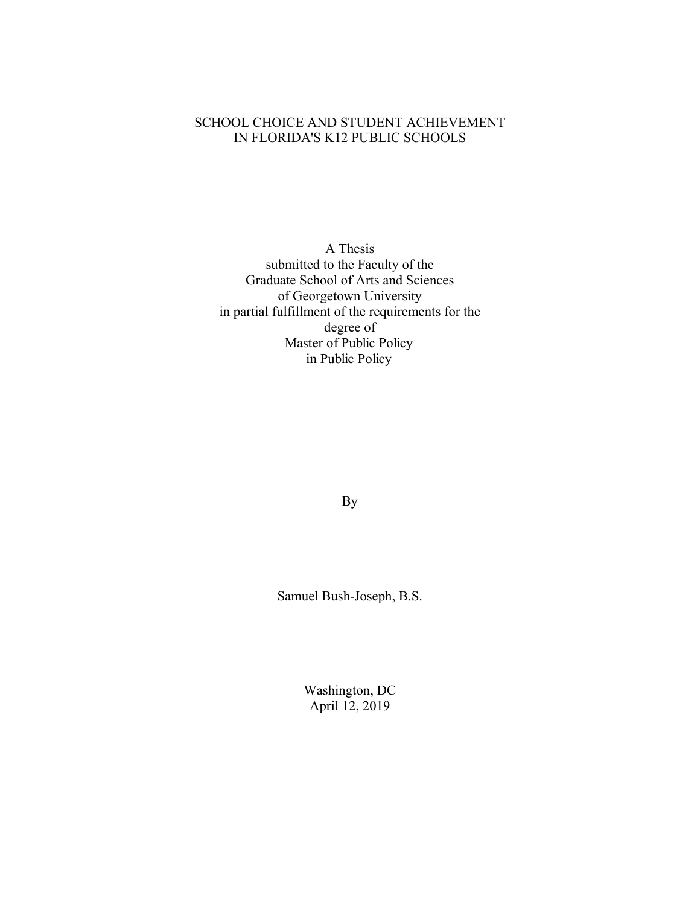## SCHOOL CHOICE AND STUDENT ACHIEVEMENT IN FLORIDA'S K12 PUBLIC SCHOOLS

A Thesis submitted to the Faculty of the Graduate School of Arts and Sciences of Georgetown University in partial fulfillment of the requirements for the degree of Master of Public Policy in Public Policy

By

Samuel Bush-Joseph, B.S.

Washington, DC April 12, 2019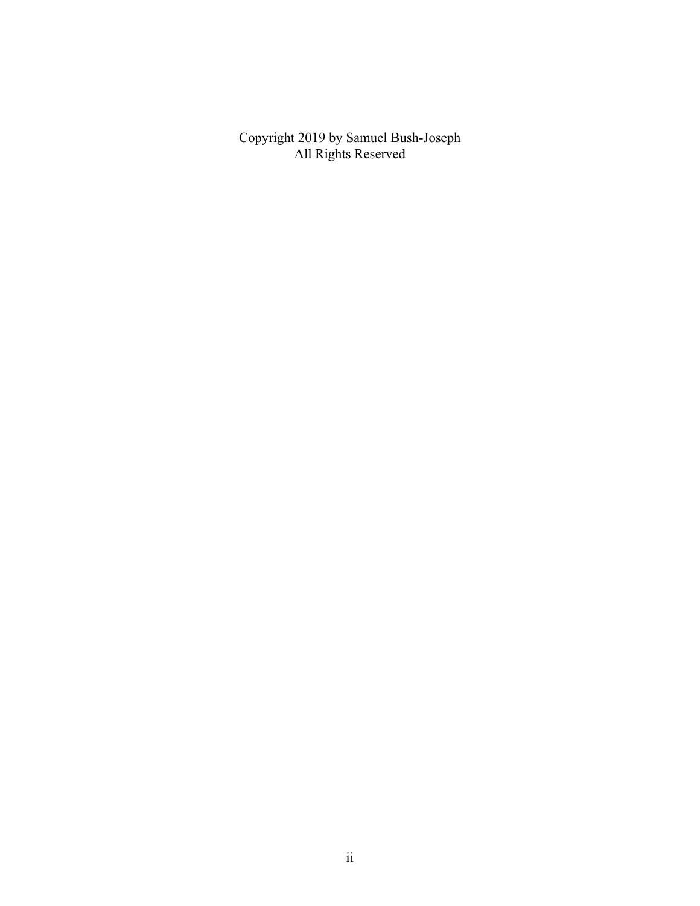Copyright 2019 by Samuel Bush-Joseph All Rights Reserved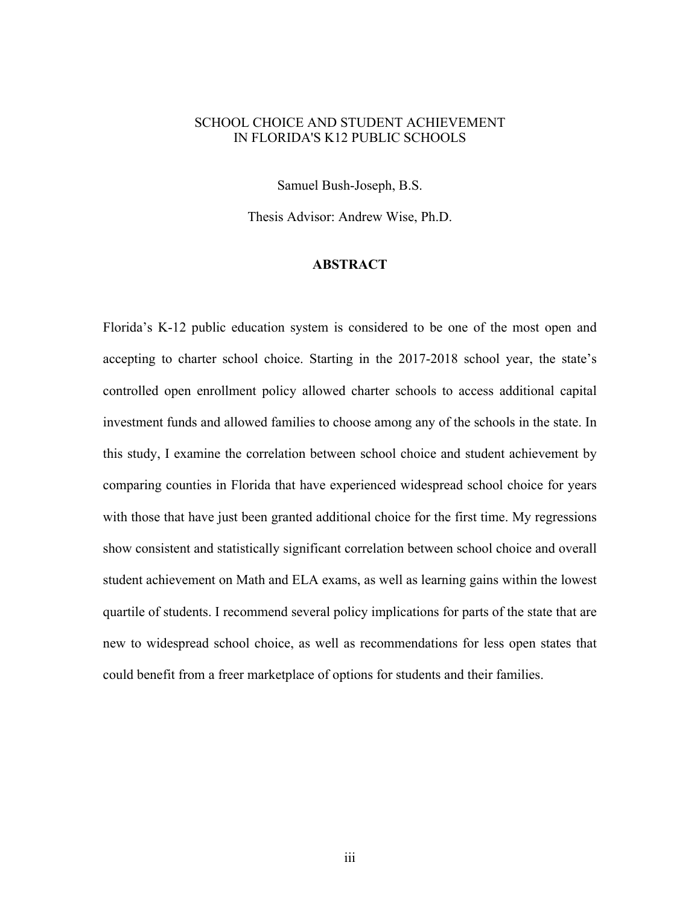## SCHOOL CHOICE AND STUDENT ACHIEVEMENT IN FLORIDA'S K12 PUBLIC SCHOOLS

Samuel Bush-Joseph, B.S.

Thesis Advisor: Andrew Wise, Ph.D.

## **ABSTRACT**

Florida's K-12 public education system is considered to be one of the most open and accepting to charter school choice. Starting in the 2017-2018 school year, the state's controlled open enrollment policy allowed charter schools to access additional capital investment funds and allowed families to choose among any of the schools in the state. In this study, I examine the correlation between school choice and student achievement by comparing counties in Florida that have experienced widespread school choice for years with those that have just been granted additional choice for the first time. My regressions show consistent and statistically significant correlation between school choice and overall student achievement on Math and ELA exams, as well as learning gains within the lowest quartile of students. I recommend several policy implications for parts of the state that are new to widespread school choice, as well as recommendations for less open states that could benefit from a freer marketplace of options for students and their families.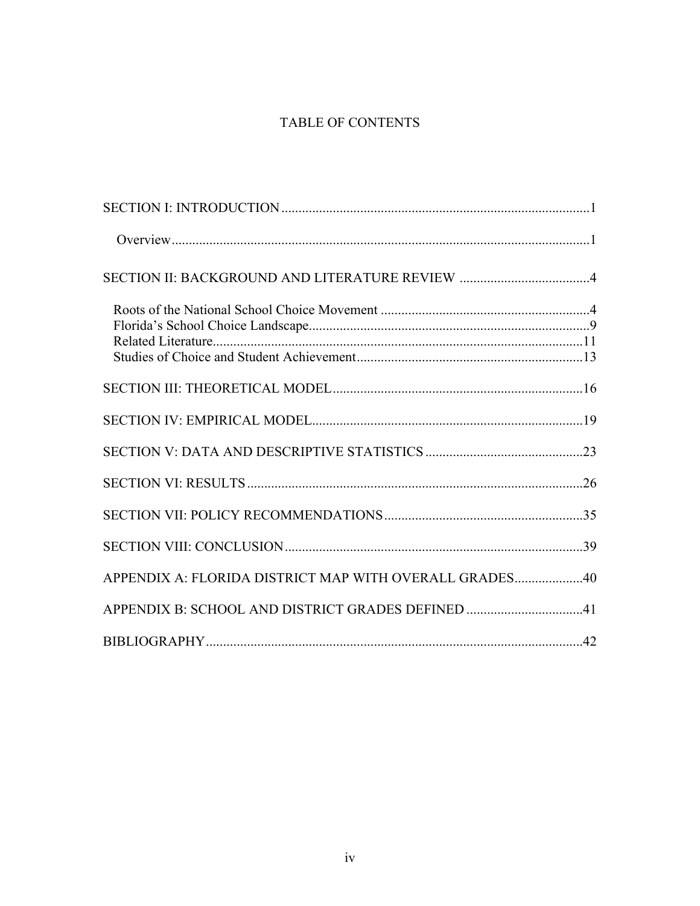# TABLE OF CONTENTS

| APPENDIX A: FLORIDA DISTRICT MAP WITH OVERALL GRADES40 |  |
|--------------------------------------------------------|--|
|                                                        |  |
|                                                        |  |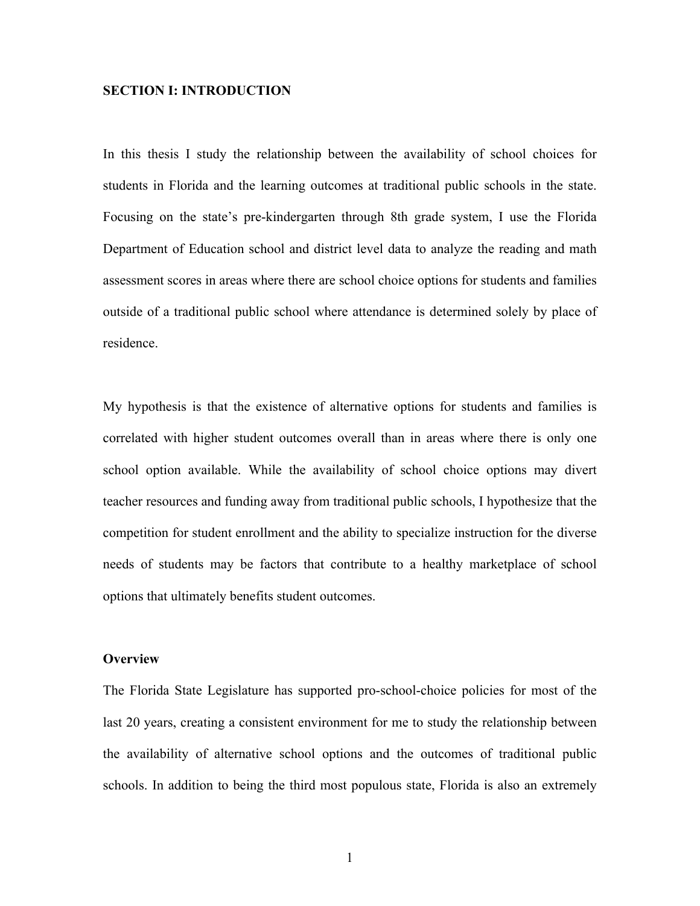## **SECTION I: INTRODUCTION**

In this thesis I study the relationship between the availability of school choices for students in Florida and the learning outcomes at traditional public schools in the state. Focusing on the state's pre-kindergarten through 8th grade system, I use the Florida Department of Education school and district level data to analyze the reading and math assessment scores in areas where there are school choice options for students and families outside of a traditional public school where attendance is determined solely by place of residence.

My hypothesis is that the existence of alternative options for students and families is correlated with higher student outcomes overall than in areas where there is only one school option available. While the availability of school choice options may divert teacher resources and funding away from traditional public schools, I hypothesize that the competition for student enrollment and the ability to specialize instruction for the diverse needs of students may be factors that contribute to a healthy marketplace of school options that ultimately benefits student outcomes.

### **Overview**

The Florida State Legislature has supported pro-school-choice policies for most of the last 20 years, creating a consistent environment for me to study the relationship between the availability of alternative school options and the outcomes of traditional public schools. In addition to being the third most populous state, Florida is also an extremely

1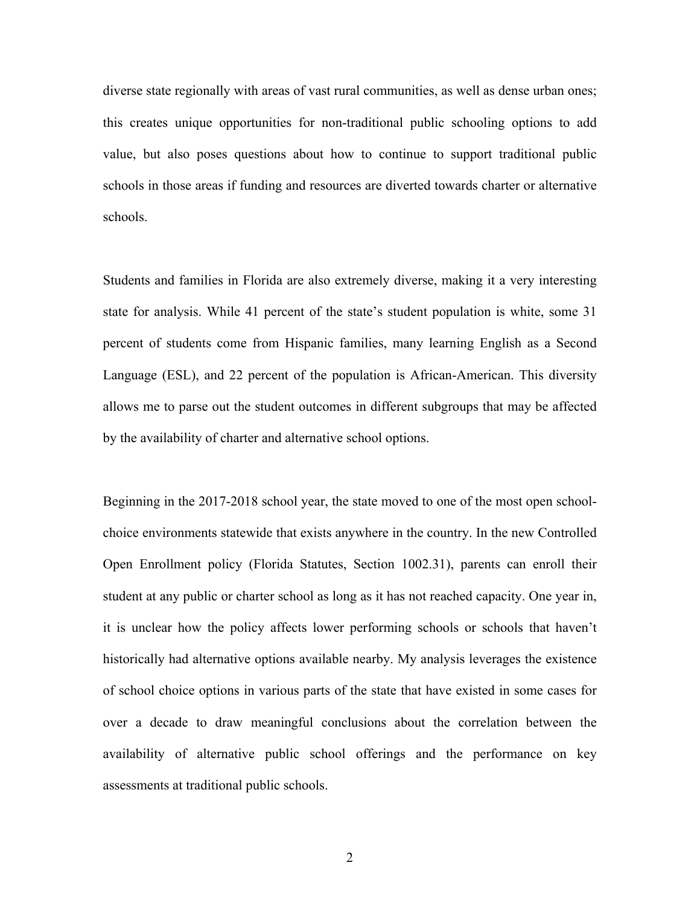diverse state regionally with areas of vast rural communities, as well as dense urban ones; this creates unique opportunities for non-traditional public schooling options to add value, but also poses questions about how to continue to support traditional public schools in those areas if funding and resources are diverted towards charter or alternative schools.

Students and families in Florida are also extremely diverse, making it a very interesting state for analysis. While 41 percent of the state's student population is white, some 31 percent of students come from Hispanic families, many learning English as a Second Language (ESL), and 22 percent of the population is African-American. This diversity allows me to parse out the student outcomes in different subgroups that may be affected by the availability of charter and alternative school options.

Beginning in the 2017-2018 school year, the state moved to one of the most open schoolchoice environments statewide that exists anywhere in the country. In the new Controlled Open Enrollment policy (Florida Statutes, Section 1002.31), parents can enroll their student at any public or charter school as long as it has not reached capacity. One year in, it is unclear how the policy affects lower performing schools or schools that haven't historically had alternative options available nearby. My analysis leverages the existence of school choice options in various parts of the state that have existed in some cases for over a decade to draw meaningful conclusions about the correlation between the availability of alternative public school offerings and the performance on key assessments at traditional public schools.

2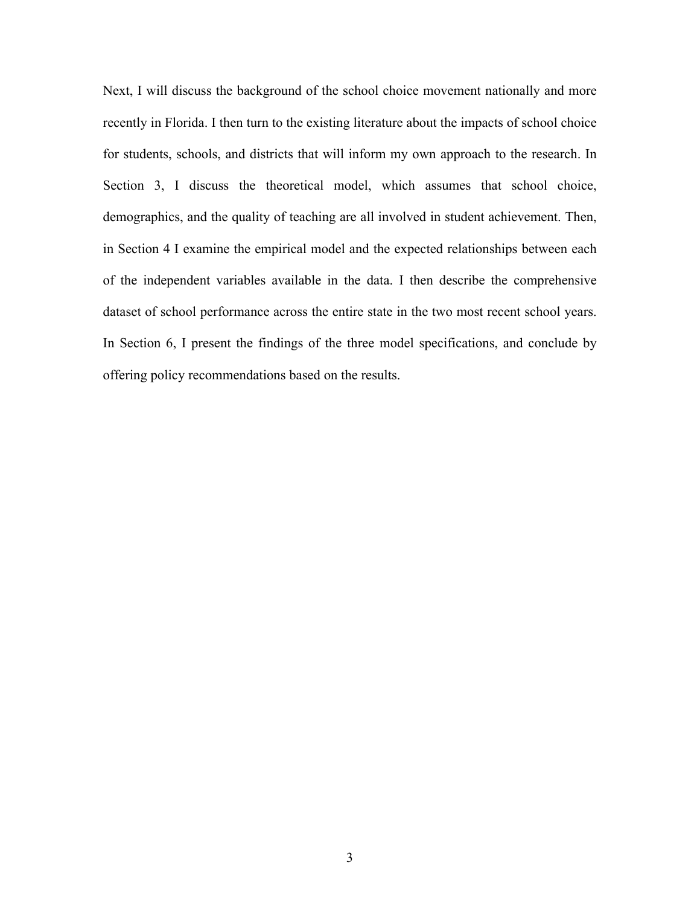Next, I will discuss the background of the school choice movement nationally and more recently in Florida. I then turn to the existing literature about the impacts of school choice for students, schools, and districts that will inform my own approach to the research. In Section 3, I discuss the theoretical model, which assumes that school choice, demographics, and the quality of teaching are all involved in student achievement. Then, in Section 4 I examine the empirical model and the expected relationships between each of the independent variables available in the data. I then describe the comprehensive dataset of school performance across the entire state in the two most recent school years. In Section 6, I present the findings of the three model specifications, and conclude by offering policy recommendations based on the results.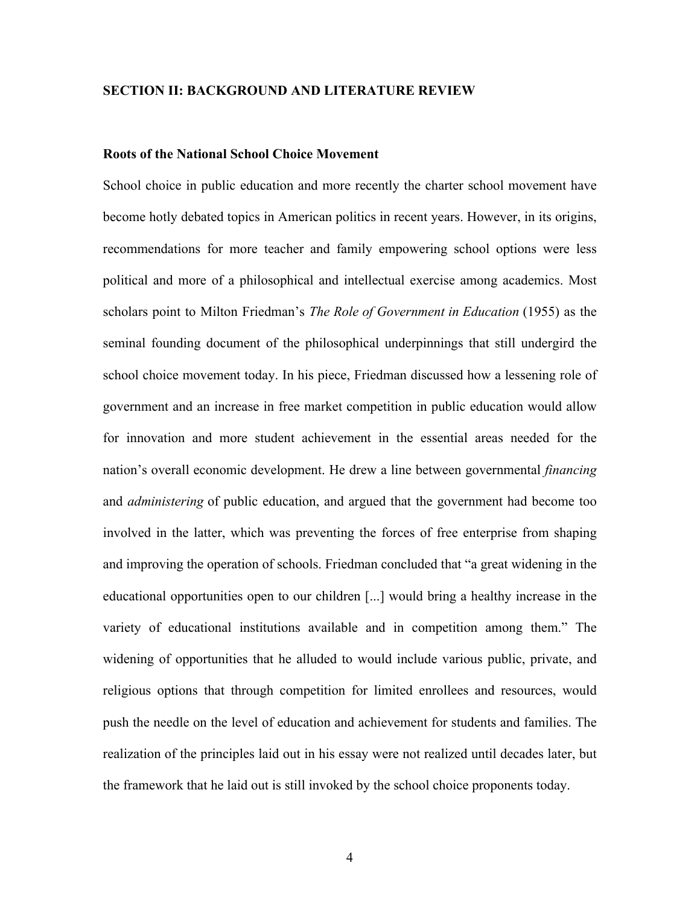## **SECTION II: BACKGROUND AND LITERATURE REVIEW**

### **Roots of the National School Choice Movement**

School choice in public education and more recently the charter school movement have become hotly debated topics in American politics in recent years. However, in its origins, recommendations for more teacher and family empowering school options were less political and more of a philosophical and intellectual exercise among academics. Most scholars point to Milton Friedman's *The Role of Government in Education* (1955) as the seminal founding document of the philosophical underpinnings that still undergird the school choice movement today. In his piece, Friedman discussed how a lessening role of government and an increase in free market competition in public education would allow for innovation and more student achievement in the essential areas needed for the nation's overall economic development. He drew a line between governmental *financing*  and *administering* of public education, and argued that the government had become too involved in the latter, which was preventing the forces of free enterprise from shaping and improving the operation of schools. Friedman concluded that "a great widening in the educational opportunities open to our children [...] would bring a healthy increase in the variety of educational institutions available and in competition among them." The widening of opportunities that he alluded to would include various public, private, and religious options that through competition for limited enrollees and resources, would push the needle on the level of education and achievement for students and families. The realization of the principles laid out in his essay were not realized until decades later, but the framework that he laid out is still invoked by the school choice proponents today.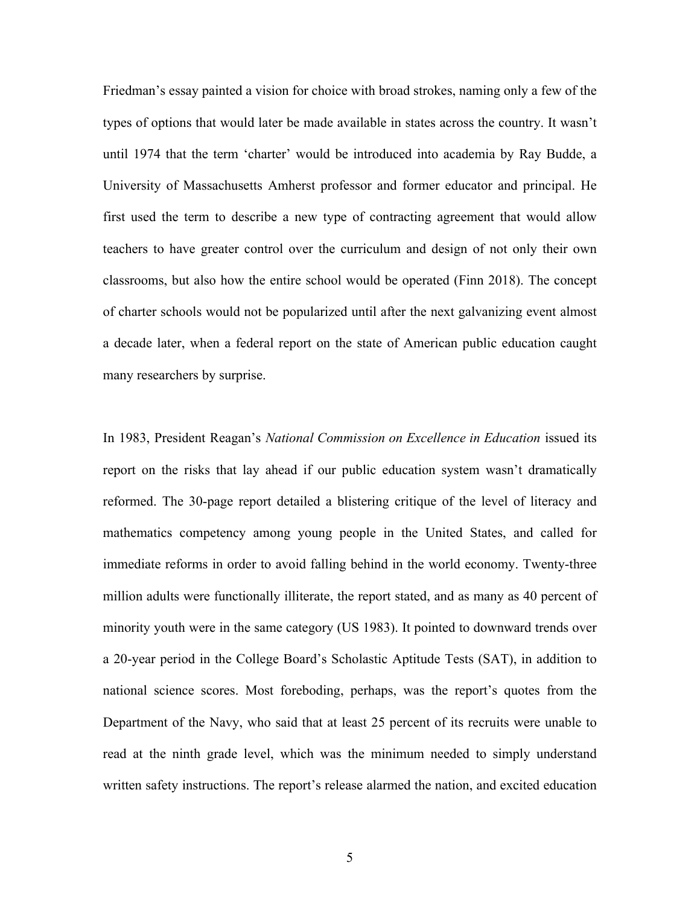Friedman's essay painted a vision for choice with broad strokes, naming only a few of the types of options that would later be made available in states across the country. It wasn't until 1974 that the term 'charter' would be introduced into academia by Ray Budde, a University of Massachusetts Amherst professor and former educator and principal. He first used the term to describe a new type of contracting agreement that would allow teachers to have greater control over the curriculum and design of not only their own classrooms, but also how the entire school would be operated (Finn 2018). The concept of charter schools would not be popularized until after the next galvanizing event almost a decade later, when a federal report on the state of American public education caught many researchers by surprise.

In 1983, President Reagan's *National Commission on Excellence in Education* issued its report on the risks that lay ahead if our public education system wasn't dramatically reformed. The 30-page report detailed a blistering critique of the level of literacy and mathematics competency among young people in the United States, and called for immediate reforms in order to avoid falling behind in the world economy. Twenty-three million adults were functionally illiterate, the report stated, and as many as 40 percent of minority youth were in the same category (US 1983). It pointed to downward trends over a 20-year period in the College Board's Scholastic Aptitude Tests (SAT), in addition to national science scores. Most foreboding, perhaps, was the report's quotes from the Department of the Navy, who said that at least 25 percent of its recruits were unable to read at the ninth grade level, which was the minimum needed to simply understand written safety instructions. The report's release alarmed the nation, and excited education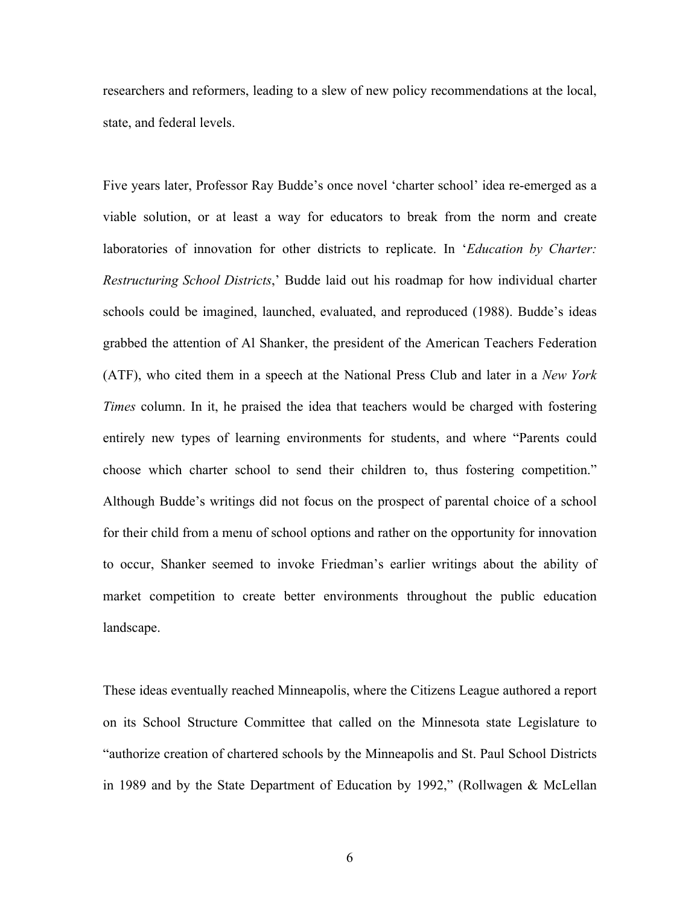researchers and reformers, leading to a slew of new policy recommendations at the local, state, and federal levels.

Five years later, Professor Ray Budde's once novel 'charter school' idea re-emerged as a viable solution, or at least a way for educators to break from the norm and create laboratories of innovation for other districts to replicate. In '*Education by Charter: Restructuring School Districts*,' Budde laid out his roadmap for how individual charter schools could be imagined, launched, evaluated, and reproduced (1988). Budde's ideas grabbed the attention of Al Shanker, the president of the American Teachers Federation (ATF), who cited them in a speech at the National Press Club and later in a *New York Times* column. In it, he praised the idea that teachers would be charged with fostering entirely new types of learning environments for students, and where "Parents could choose which charter school to send their children to, thus fostering competition." Although Budde's writings did not focus on the prospect of parental choice of a school for their child from a menu of school options and rather on the opportunity for innovation to occur, Shanker seemed to invoke Friedman's earlier writings about the ability of market competition to create better environments throughout the public education landscape.

These ideas eventually reached Minneapolis, where the Citizens League authored a report on its School Structure Committee that called on the Minnesota state Legislature to "authorize creation of chartered schools by the Minneapolis and St. Paul School Districts in 1989 and by the State Department of Education by 1992," (Rollwagen & McLellan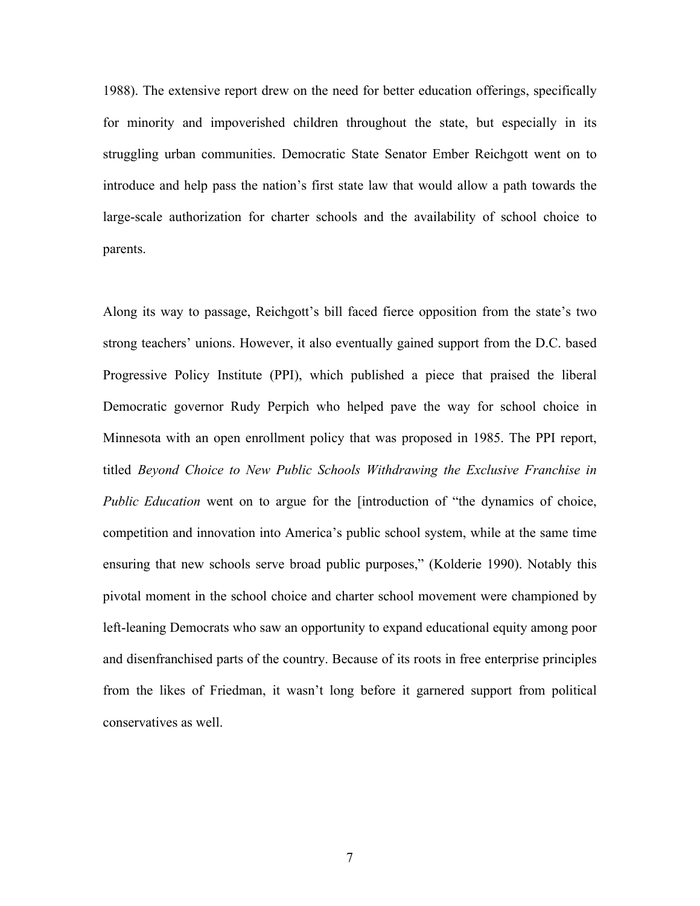1988). The extensive report drew on the need for better education offerings, specifically for minority and impoverished children throughout the state, but especially in its struggling urban communities. Democratic State Senator Ember Reichgott went on to introduce and help pass the nation's first state law that would allow a path towards the large-scale authorization for charter schools and the availability of school choice to parents.

Along its way to passage, Reichgott's bill faced fierce opposition from the state's two strong teachers' unions. However, it also eventually gained support from the D.C. based Progressive Policy Institute (PPI), which published a piece that praised the liberal Democratic governor Rudy Perpich who helped pave the way for school choice in Minnesota with an open enrollment policy that was proposed in 1985. The PPI report, titled *Beyond Choice to New Public Schools Withdrawing the Exclusive Franchise in Public Education* went on to argue for the [introduction of "the dynamics of choice, competition and innovation into America's public school system, while at the same time ensuring that new schools serve broad public purposes," (Kolderie 1990). Notably this pivotal moment in the school choice and charter school movement were championed by left-leaning Democrats who saw an opportunity to expand educational equity among poor and disenfranchised parts of the country. Because of its roots in free enterprise principles from the likes of Friedman, it wasn't long before it garnered support from political conservatives as well.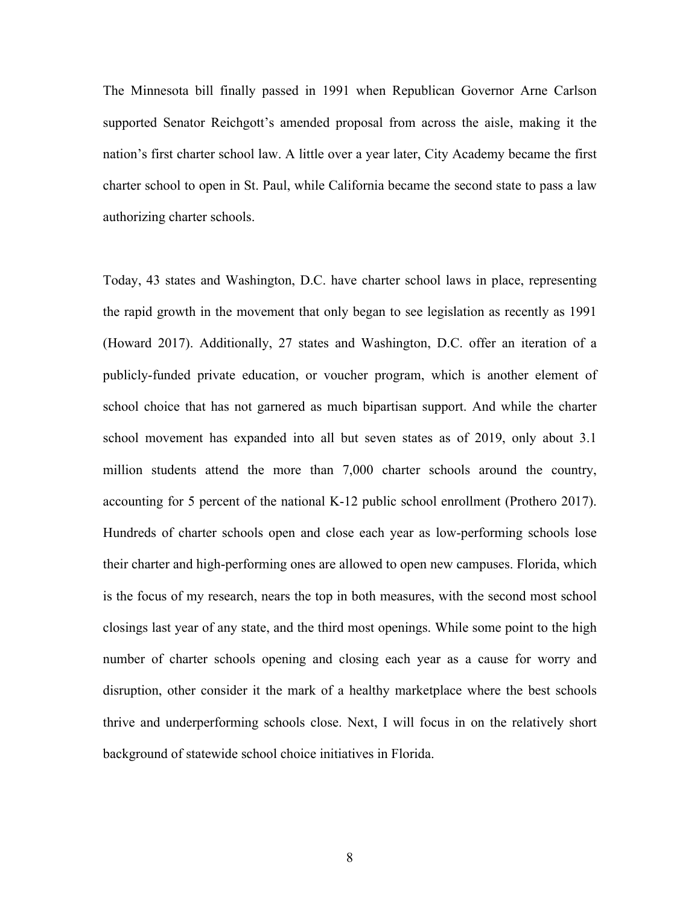The Minnesota bill finally passed in 1991 when Republican Governor Arne Carlson supported Senator Reichgott's amended proposal from across the aisle, making it the nation's first charter school law. A little over a year later, City Academy became the first charter school to open in St. Paul, while California became the second state to pass a law authorizing charter schools.

Today, 43 states and Washington, D.C. have charter school laws in place, representing the rapid growth in the movement that only began to see legislation as recently as 1991 (Howard 2017). Additionally, 27 states and Washington, D.C. offer an iteration of a publicly-funded private education, or voucher program, which is another element of school choice that has not garnered as much bipartisan support. And while the charter school movement has expanded into all but seven states as of 2019, only about 3.1 million students attend the more than 7,000 charter schools around the country, accounting for 5 percent of the national K-12 public school enrollment (Prothero 2017). Hundreds of charter schools open and close each year as low-performing schools lose their charter and high-performing ones are allowed to open new campuses. Florida, which is the focus of my research, nears the top in both measures, with the second most school closings last year of any state, and the third most openings. While some point to the high number of charter schools opening and closing each year as a cause for worry and disruption, other consider it the mark of a healthy marketplace where the best schools thrive and underperforming schools close. Next, I will focus in on the relatively short background of statewide school choice initiatives in Florida.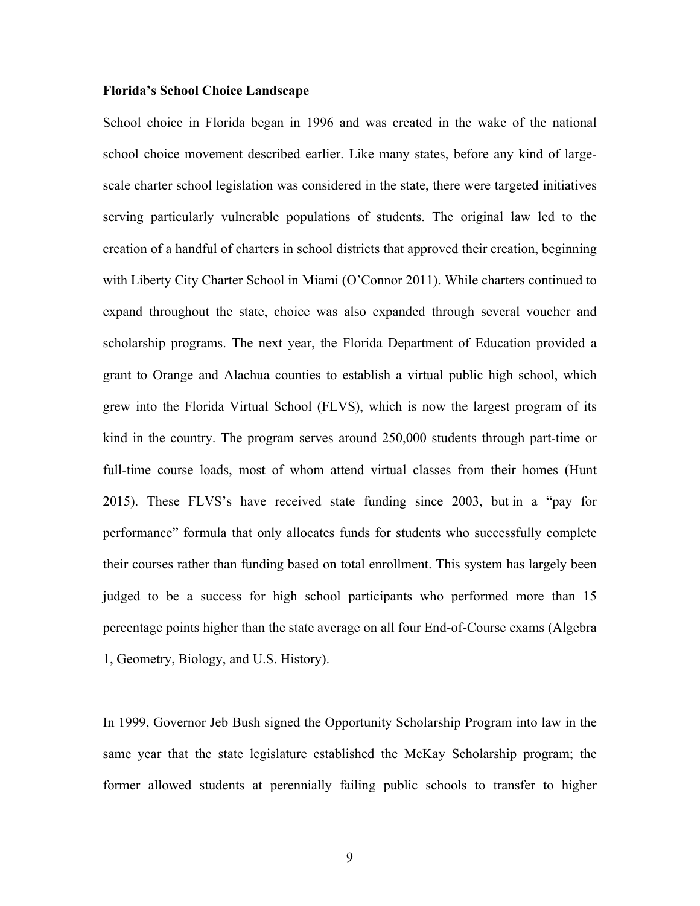#### **Florida's School Choice Landscape**

School choice in Florida began in 1996 and was created in the wake of the national school choice movement described earlier. Like many states, before any kind of largescale charter school legislation was considered in the state, there were targeted initiatives serving particularly vulnerable populations of students. The original law led to the creation of a handful of charters in school districts that approved their creation, beginning with Liberty City Charter School in Miami (O'Connor 2011). While charters continued to expand throughout the state, choice was also expanded through several voucher and scholarship programs. The next year, the Florida Department of Education provided a grant to Orange and Alachua counties to establish a virtual public high school, which grew into the Florida Virtual School (FLVS), which is now the largest program of its kind in the country. The program serves around 250,000 students through part-time or full-time course loads, most of whom attend virtual classes from their homes (Hunt 2015). These FLVS's have received state funding since 2003, but in a "pay for performance" formula that only allocates funds for students who successfully complete their courses rather than funding based on total enrollment. This system has largely been judged to be a success for high school participants who performed more than 15 percentage points higher than the state average on all four End-of-Course exams (Algebra 1, Geometry, Biology, and U.S. History).

In 1999, Governor Jeb Bush signed the Opportunity Scholarship Program into law in the same year that the state legislature established the McKay Scholarship program; the former allowed students at perennially failing public schools to transfer to higher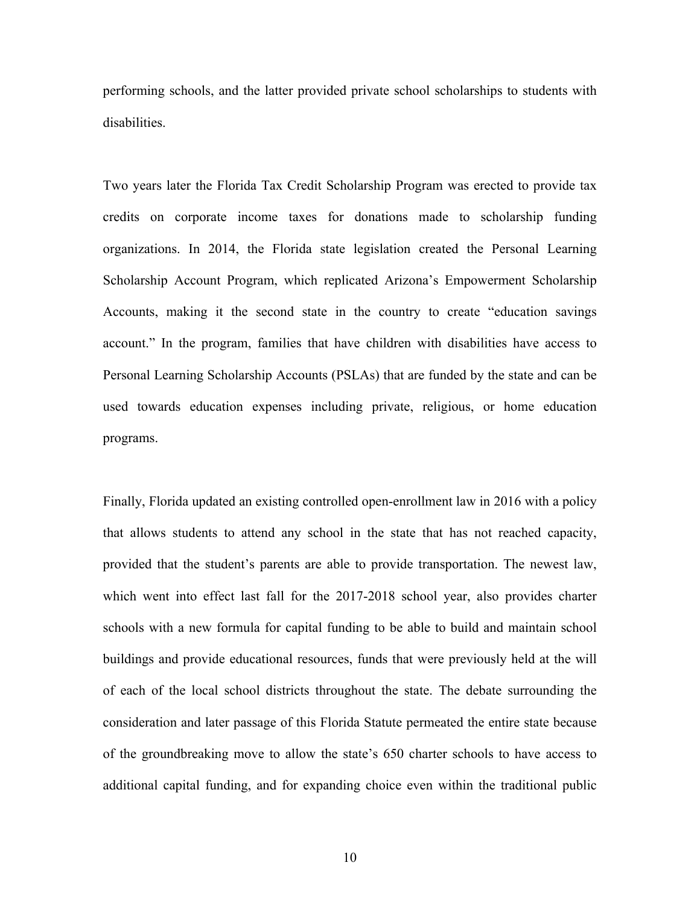performing schools, and the latter provided private school scholarships to students with disabilities.

Two years later the Florida Tax Credit Scholarship Program was erected to provide tax credits on corporate income taxes for donations made to scholarship funding organizations. In 2014, the Florida state legislation created the Personal Learning Scholarship Account Program, which replicated Arizona's Empowerment Scholarship Accounts, making it the second state in the country to create "education savings account." In the program, families that have children with disabilities have access to Personal Learning Scholarship Accounts (PSLAs) that are funded by the state and can be used towards education expenses including private, religious, or home education programs.

Finally, Florida updated an existing controlled open-enrollment law in 2016 with a policy that allows students to attend any school in the state that has not reached capacity, provided that the student's parents are able to provide transportation. The newest law, which went into effect last fall for the 2017-2018 school year, also provides charter schools with a new formula for capital funding to be able to build and maintain school buildings and provide educational resources, funds that were previously held at the will of each of the local school districts throughout the state. The debate surrounding the consideration and later passage of this Florida Statute permeated the entire state because of the groundbreaking move to allow the state's 650 charter schools to have access to additional capital funding, and for expanding choice even within the traditional public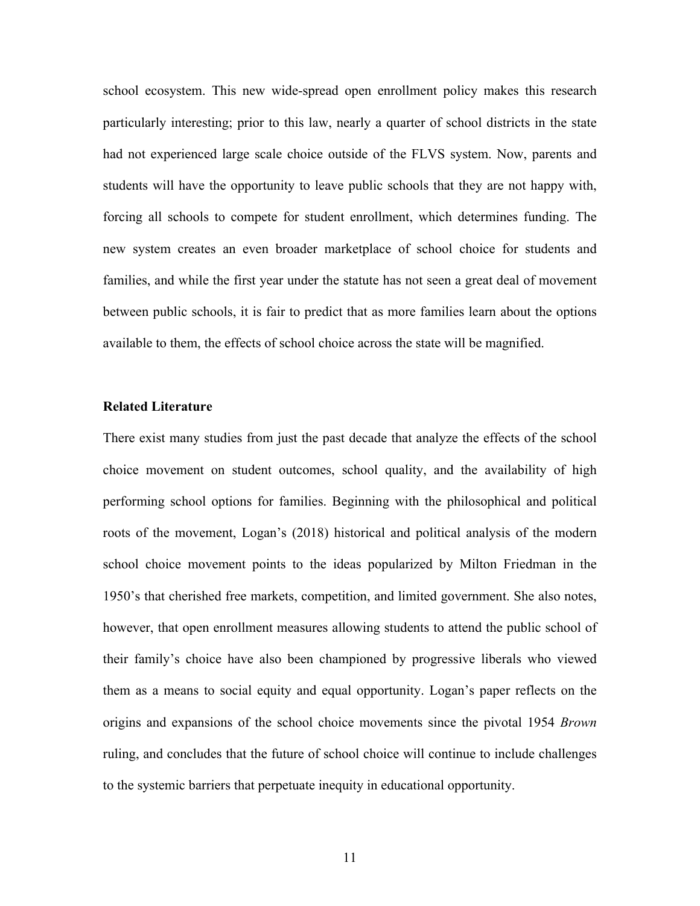school ecosystem. This new wide-spread open enrollment policy makes this research particularly interesting; prior to this law, nearly a quarter of school districts in the state had not experienced large scale choice outside of the FLVS system. Now, parents and students will have the opportunity to leave public schools that they are not happy with, forcing all schools to compete for student enrollment, which determines funding. The new system creates an even broader marketplace of school choice for students and families, and while the first year under the statute has not seen a great deal of movement between public schools, it is fair to predict that as more families learn about the options available to them, the effects of school choice across the state will be magnified.

### **Related Literature**

There exist many studies from just the past decade that analyze the effects of the school choice movement on student outcomes, school quality, and the availability of high performing school options for families. Beginning with the philosophical and political roots of the movement, Logan's (2018) historical and political analysis of the modern school choice movement points to the ideas popularized by Milton Friedman in the 1950's that cherished free markets, competition, and limited government. She also notes, however, that open enrollment measures allowing students to attend the public school of their family's choice have also been championed by progressive liberals who viewed them as a means to social equity and equal opportunity. Logan's paper reflects on the origins and expansions of the school choice movements since the pivotal 1954 *Brown*  ruling, and concludes that the future of school choice will continue to include challenges to the systemic barriers that perpetuate inequity in educational opportunity.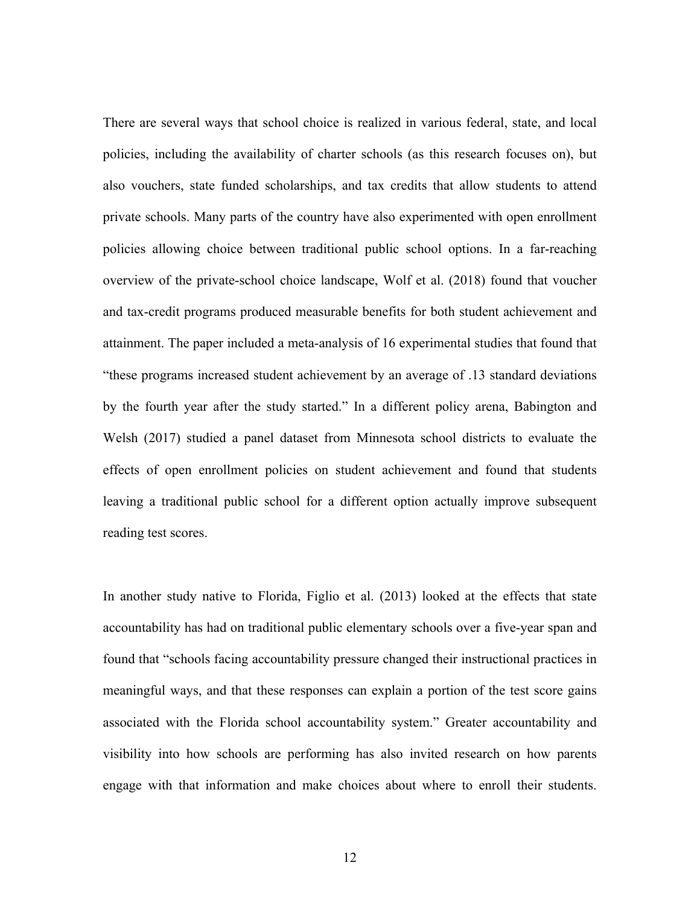There are several ways that school choice is realized in various federal, state, and local policies, including the availability of charter schools (as this research focuses on), but also vouchers, state funded scholarships, and tax credits that allow students to attend private schools. Many parts of the country have also experimented with open enrollment policies allowing choice between traditional public school options. In a far-reaching overview of the private-school choice landscape, Wolf et al. (2018) found that voucher and tax-credit programs produced measurable benefits for both student achievement and attainment. The paper included a meta-analysis of 16 experimental studies that found that "these programs increased student achievement by an average of .13 standard deviations by the fourth year after the study started." In a different policy arena, Babington and Welsh (2017) studied a panel dataset from Minnesota school districts to evaluate the effects of open enrollment policies on student achievement and found that students leaving a traditional public school for a different option actually improve subsequent reading test scores.

In another study native to Florida, Figlio et al. (2013) looked at the effects that state accountability has had on traditional public elementary schools over a five-year span and found that "schools facing accountability pressure changed their instructional practices in meaningful ways, and that these responses can explain a portion of the test score gains associated with the Florida school accountability system." Greater accountability and visibility into how schools are performing has also invited research on how parents engage with that information and make choices about where to enroll their students.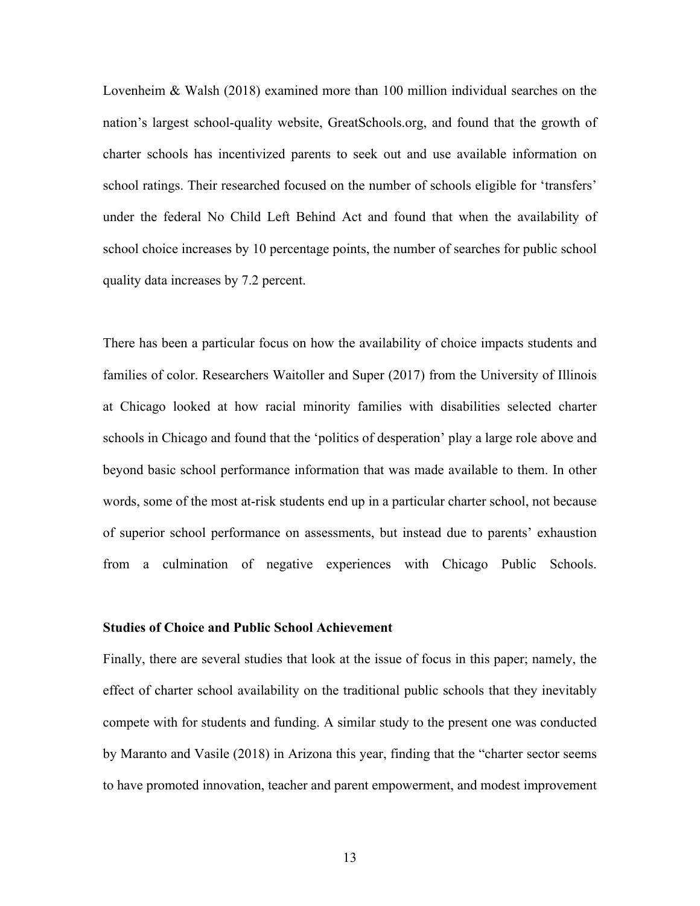Lovenheim & Walsh (2018) examined more than 100 million individual searches on the nation's largest school-quality website, GreatSchools.org, and found that the growth of charter schools has incentivized parents to seek out and use available information on school ratings. Their researched focused on the number of schools eligible for 'transfers' under the federal No Child Left Behind Act and found that when the availability of school choice increases by 10 percentage points, the number of searches for public school quality data increases by 7.2 percent.

There has been a particular focus on how the availability of choice impacts students and families of color. Researchers Waitoller and Super (2017) from the University of Illinois at Chicago looked at how racial minority families with disabilities selected charter schools in Chicago and found that the 'politics of desperation' play a large role above and beyond basic school performance information that was made available to them. In other words, some of the most at-risk students end up in a particular charter school, not because of superior school performance on assessments, but instead due to parents' exhaustion from a culmination of negative experiences with Chicago Public Schools.

## **Studies of Choice and Public School Achievement**

Finally, there are several studies that look at the issue of focus in this paper; namely, the effect of charter school availability on the traditional public schools that they inevitably compete with for students and funding. A similar study to the present one was conducted by Maranto and Vasile (2018) in Arizona this year, finding that the "charter sector seems to have promoted innovation, teacher and parent empowerment, and modest improvement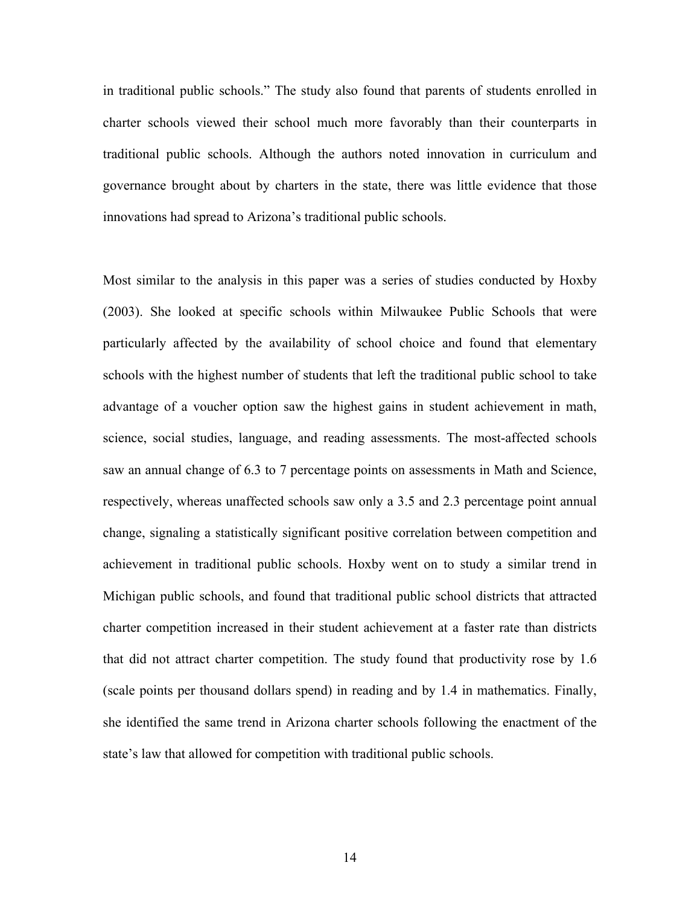in traditional public schools." The study also found that parents of students enrolled in charter schools viewed their school much more favorably than their counterparts in traditional public schools. Although the authors noted innovation in curriculum and governance brought about by charters in the state, there was little evidence that those innovations had spread to Arizona's traditional public schools.

Most similar to the analysis in this paper was a series of studies conducted by Hoxby (2003). She looked at specific schools within Milwaukee Public Schools that were particularly affected by the availability of school choice and found that elementary schools with the highest number of students that left the traditional public school to take advantage of a voucher option saw the highest gains in student achievement in math, science, social studies, language, and reading assessments. The most-affected schools saw an annual change of 6.3 to 7 percentage points on assessments in Math and Science, respectively, whereas unaffected schools saw only a 3.5 and 2.3 percentage point annual change, signaling a statistically significant positive correlation between competition and achievement in traditional public schools. Hoxby went on to study a similar trend in Michigan public schools, and found that traditional public school districts that attracted charter competition increased in their student achievement at a faster rate than districts that did not attract charter competition. The study found that productivity rose by 1.6 (scale points per thousand dollars spend) in reading and by 1.4 in mathematics. Finally, she identified the same trend in Arizona charter schools following the enactment of the state's law that allowed for competition with traditional public schools.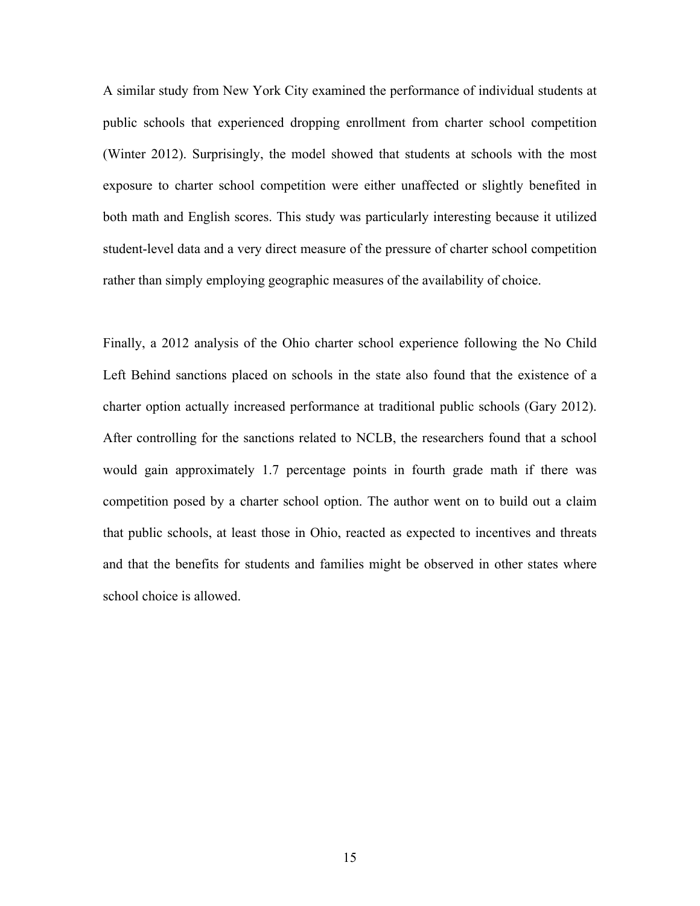A similar study from New York City examined the performance of individual students at public schools that experienced dropping enrollment from charter school competition (Winter 2012). Surprisingly, the model showed that students at schools with the most exposure to charter school competition were either unaffected or slightly benefited in both math and English scores. This study was particularly interesting because it utilized student-level data and a very direct measure of the pressure of charter school competition rather than simply employing geographic measures of the availability of choice.

Finally, a 2012 analysis of the Ohio charter school experience following the No Child Left Behind sanctions placed on schools in the state also found that the existence of a charter option actually increased performance at traditional public schools (Gary 2012). After controlling for the sanctions related to NCLB, the researchers found that a school would gain approximately 1.7 percentage points in fourth grade math if there was competition posed by a charter school option. The author went on to build out a claim that public schools, at least those in Ohio, reacted as expected to incentives and threats and that the benefits for students and families might be observed in other states where school choice is allowed.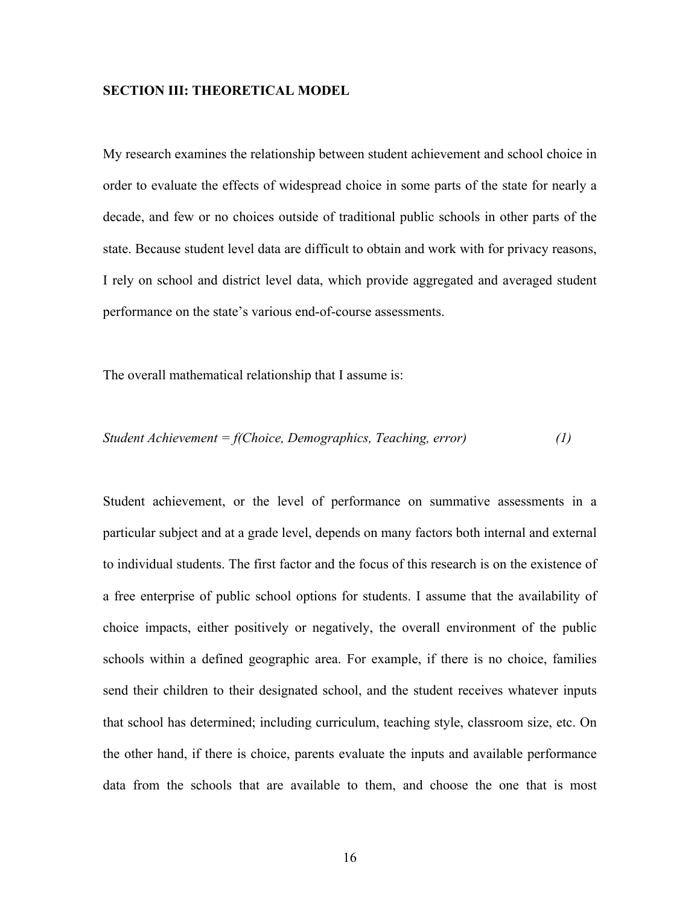## **SECTION III: THEORETICAL MODEL**

My research examines the relationship between student achievement and school choice in order to evaluate the effects of widespread choice in some parts of the state for nearly a decade, and few or no choices outside of traditional public schools in other parts of the state. Because student level data are difficult to obtain and work with for privacy reasons, I rely on school and district level data, which provide aggregated and averaged student performance on the state's various end-of-course assessments.

The overall mathematical relationship that I assume is:

$$
Student \, Achievement = f(Choice, Demographics, Teaching, error) \tag{1}
$$

Student achievement, or the level of performance on summative assessments in a particular subject and at a grade level, depends on many factors both internal and external to individual students. The first factor and the focus of this research is on the existence of a free enterprise of public school options for students. I assume that the availability of choice impacts, either positively or negatively, the overall environment of the public schools within a defined geographic area. For example, if there is no choice, families send their children to their designated school, and the student receives whatever inputs that school has determined; including curriculum, teaching style, classroom size, etc. On the other hand, if there is choice, parents evaluate the inputs and available performance data from the schools that are available to them, and choose the one that is most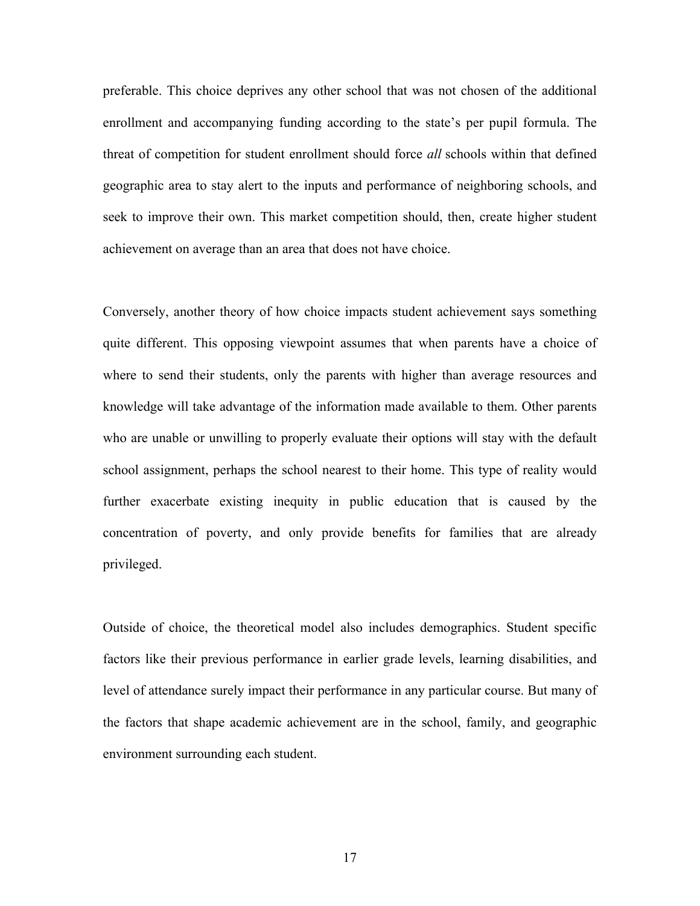preferable. This choice deprives any other school that was not chosen of the additional enrollment and accompanying funding according to the state's per pupil formula. The threat of competition for student enrollment should force *all* schools within that defined geographic area to stay alert to the inputs and performance of neighboring schools, and seek to improve their own. This market competition should, then, create higher student achievement on average than an area that does not have choice.

Conversely, another theory of how choice impacts student achievement says something quite different. This opposing viewpoint assumes that when parents have a choice of where to send their students, only the parents with higher than average resources and knowledge will take advantage of the information made available to them. Other parents who are unable or unwilling to properly evaluate their options will stay with the default school assignment, perhaps the school nearest to their home. This type of reality would further exacerbate existing inequity in public education that is caused by the concentration of poverty, and only provide benefits for families that are already privileged.

Outside of choice, the theoretical model also includes demographics. Student specific factors like their previous performance in earlier grade levels, learning disabilities, and level of attendance surely impact their performance in any particular course. But many of the factors that shape academic achievement are in the school, family, and geographic environment surrounding each student.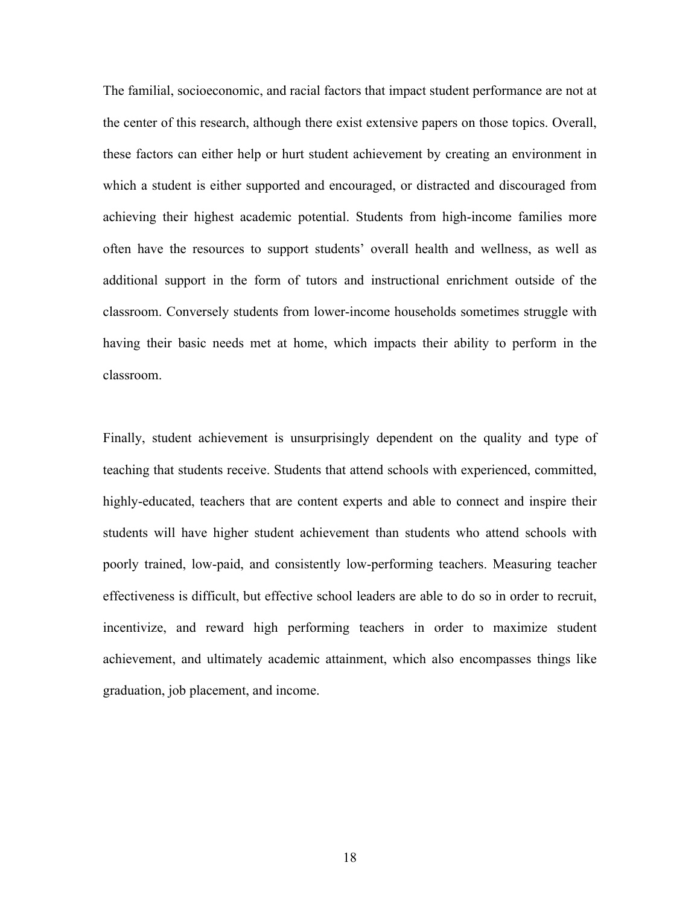The familial, socioeconomic, and racial factors that impact student performance are not at the center of this research, although there exist extensive papers on those topics. Overall, these factors can either help or hurt student achievement by creating an environment in which a student is either supported and encouraged, or distracted and discouraged from achieving their highest academic potential. Students from high-income families more often have the resources to support students' overall health and wellness, as well as additional support in the form of tutors and instructional enrichment outside of the classroom. Conversely students from lower-income households sometimes struggle with having their basic needs met at home, which impacts their ability to perform in the classroom.

Finally, student achievement is unsurprisingly dependent on the quality and type of teaching that students receive. Students that attend schools with experienced, committed, highly-educated, teachers that are content experts and able to connect and inspire their students will have higher student achievement than students who attend schools with poorly trained, low-paid, and consistently low-performing teachers. Measuring teacher effectiveness is difficult, but effective school leaders are able to do so in order to recruit, incentivize, and reward high performing teachers in order to maximize student achievement, and ultimately academic attainment, which also encompasses things like graduation, job placement, and income.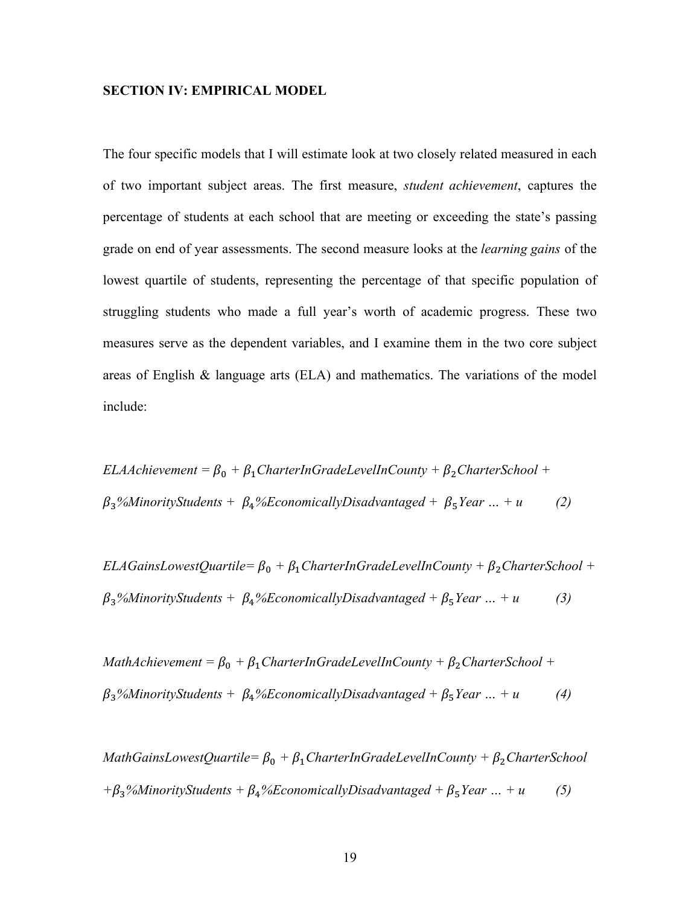### **SECTION IV: EMPIRICAL MODEL**

The four specific models that I will estimate look at two closely related measured in each of two important subject areas. The first measure, *student achievement*, captures the percentage of students at each school that are meeting or exceeding the state's passing grade on end of year assessments. The second measure looks at the *learning gains* of the lowest quartile of students, representing the percentage of that specific population of struggling students who made a full year's worth of academic progress. These two measures serve as the dependent variables, and I examine them in the two core subject areas of English  $\&$  language arts (ELA) and mathematics. The variations of the model include:

*ELAAchievement* =  $\beta_0$  +  $\beta_1$ *CharterInGradeLevelInCounty* +  $\beta_2$ *CharterSchool* +  $\beta_3$ %MinorityStudents +  $\beta_4$ %EconomicallyDisadvantaged +  $\beta_5$ Year ... + u *(2)* 

*ELAGainsLowestQuartile=*  $\beta_0$  +  $\beta_1$ *CharterInGradeLevelInCounty* +  $\beta_2$ *CharterSchool* +  $\beta_3$ %MinorityStudents +  $\beta_4$ %*EconomicallyDisadvantaged* +  $\beta_5$ *Year* ... + *u* (3)

*MathAchievement* =  $\beta_0$  +  $\beta_1$ *CharterInGradeLevelInCounty* +  $\beta_2$ *CharterSchool* +  $\beta_3$ %MinorityStudents +  $\beta_4$ %EconomicallyDisadvantaged +  $\beta_5$ Year ... + u *(4)* 

*MathGainsLowestQuartile=*  $\beta_0$  +  $\beta_1$ *CharterInGradeLevelInCounty* +  $\beta_2$ *CharterSchool*  $+ \beta_3$ %MinorityStudents +  $\beta_4$ %EconomicallyDisadvantaged +  $\beta_5$ Year ... + u (5)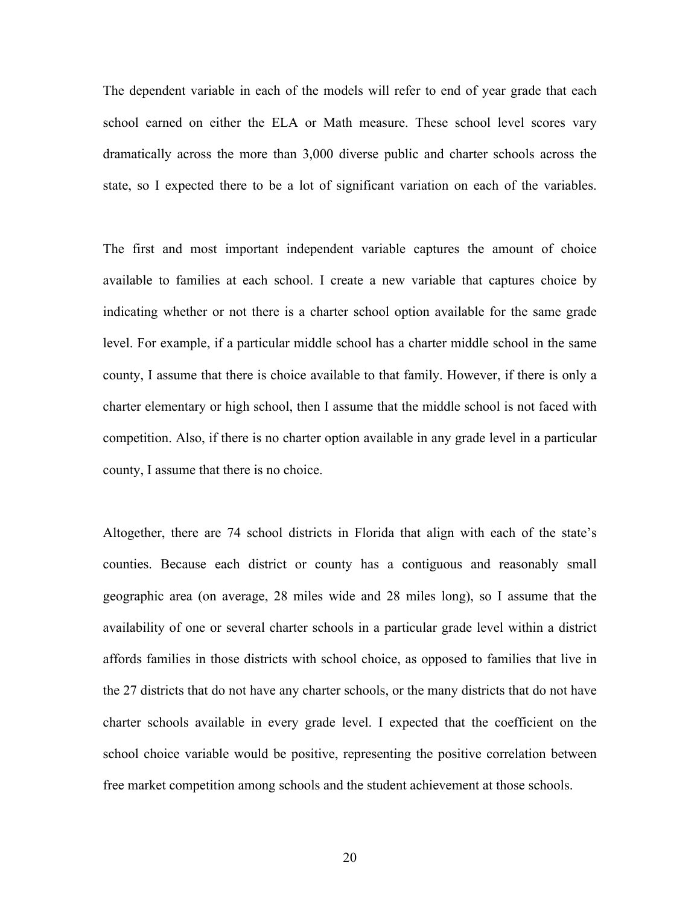The dependent variable in each of the models will refer to end of year grade that each school earned on either the ELA or Math measure. These school level scores vary dramatically across the more than 3,000 diverse public and charter schools across the state, so I expected there to be a lot of significant variation on each of the variables.

The first and most important independent variable captures the amount of choice available to families at each school. I create a new variable that captures choice by indicating whether or not there is a charter school option available for the same grade level. For example, if a particular middle school has a charter middle school in the same county, I assume that there is choice available to that family. However, if there is only a charter elementary or high school, then I assume that the middle school is not faced with competition. Also, if there is no charter option available in any grade level in a particular county, I assume that there is no choice.

Altogether, there are 74 school districts in Florida that align with each of the state's counties. Because each district or county has a contiguous and reasonably small geographic area (on average, 28 miles wide and 28 miles long), so I assume that the availability of one or several charter schools in a particular grade level within a district affords families in those districts with school choice, as opposed to families that live in the 27 districts that do not have any charter schools, or the many districts that do not have charter schools available in every grade level. I expected that the coefficient on the school choice variable would be positive, representing the positive correlation between free market competition among schools and the student achievement at those schools.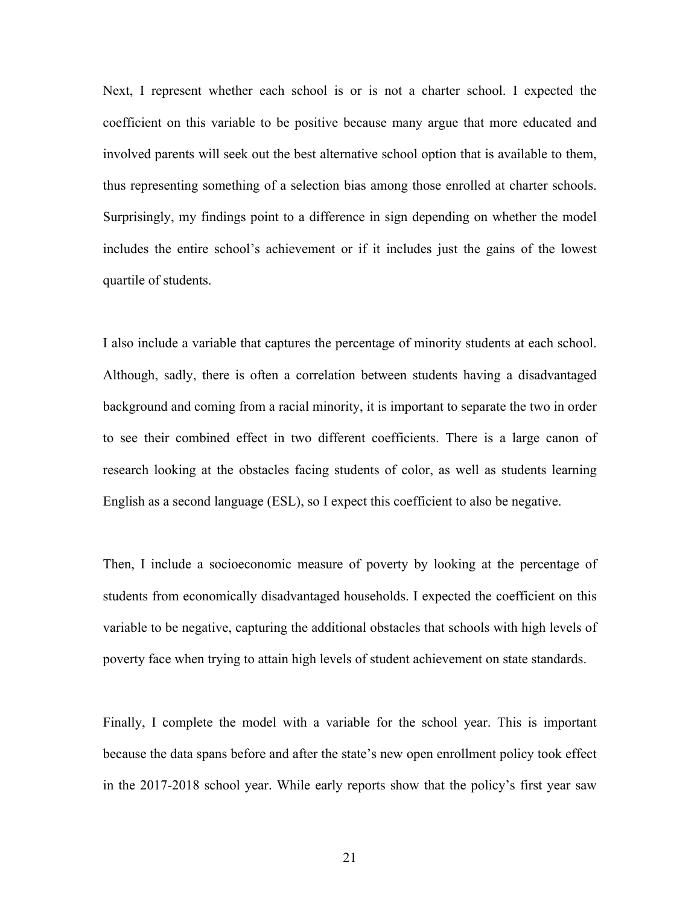Next, I represent whether each school is or is not a charter school. I expected the coefficient on this variable to be positive because many argue that more educated and involved parents will seek out the best alternative school option that is available to them, thus representing something of a selection bias among those enrolled at charter schools. Surprisingly, my findings point to a difference in sign depending on whether the model includes the entire school's achievement or if it includes just the gains of the lowest quartile of students.

I also include a variable that captures the percentage of minority students at each school. Although, sadly, there is often a correlation between students having a disadvantaged background and coming from a racial minority, it is important to separate the two in order to see their combined effect in two different coefficients. There is a large canon of research looking at the obstacles facing students of color, as well as students learning English as a second language (ESL), so I expect this coefficient to also be negative.

Then, I include a socioeconomic measure of poverty by looking at the percentage of students from economically disadvantaged households. I expected the coefficient on this variable to be negative, capturing the additional obstacles that schools with high levels of poverty face when trying to attain high levels of student achievement on state standards.

Finally, I complete the model with a variable for the school year. This is important because the data spans before and after the state's new open enrollment policy took effect in the 2017-2018 school year. While early reports show that the policy's first year saw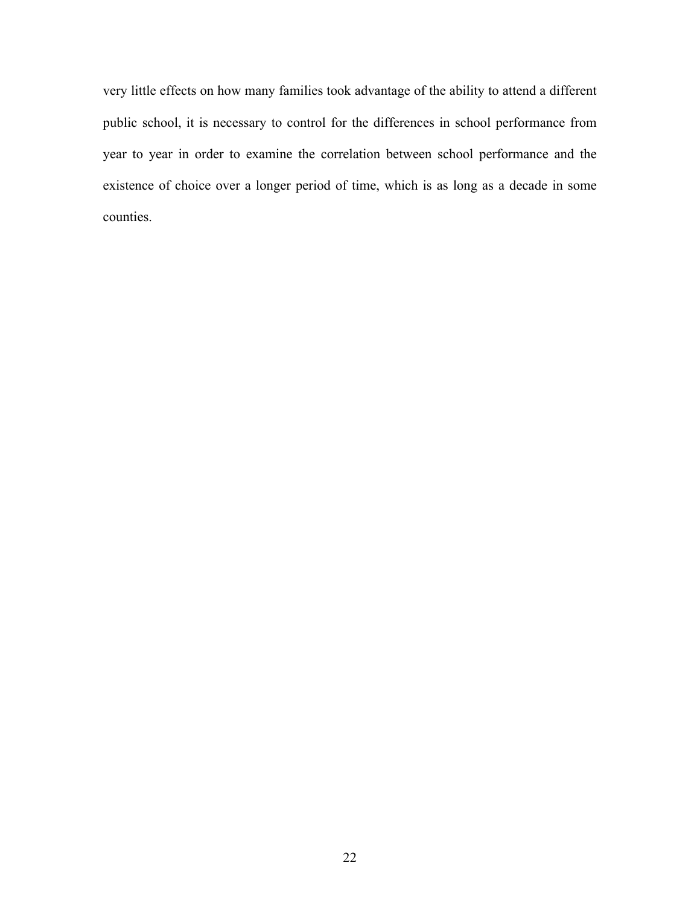very little effects on how many families took advantage of the ability to attend a different public school, it is necessary to control for the differences in school performance from year to year in order to examine the correlation between school performance and the existence of choice over a longer period of time, which is as long as a decade in some counties.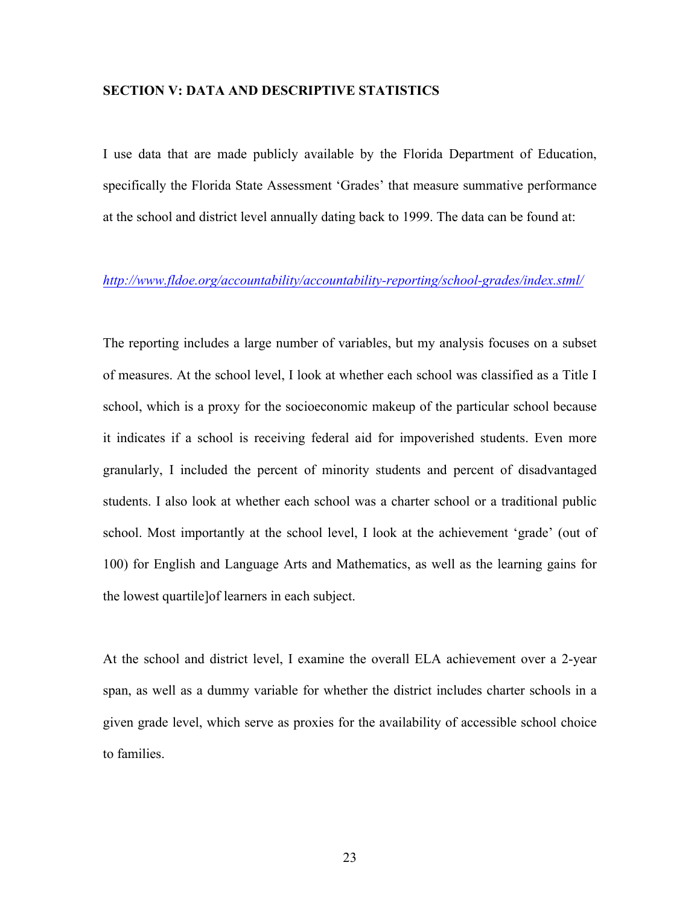## **SECTION V: DATA AND DESCRIPTIVE STATISTICS**

I use data that are made publicly available by the Florida Department of Education, specifically the Florida State Assessment 'Grades' that measure summative performance at the school and district level annually dating back to 1999. The data can be found at:

## *http://www.fldoe.org/accountability/accountability-reporting/school-grades/index.stml/*

The reporting includes a large number of variables, but my analysis focuses on a subset of measures. At the school level, I look at whether each school was classified as a Title I school, which is a proxy for the socioeconomic makeup of the particular school because it indicates if a school is receiving federal aid for impoverished students. Even more granularly, I included the percent of minority students and percent of disadvantaged students. I also look at whether each school was a charter school or a traditional public school. Most importantly at the school level, I look at the achievement 'grade' (out of 100) for English and Language Arts and Mathematics, as well as the learning gains for the lowest quartile]of learners in each subject.

At the school and district level, I examine the overall ELA achievement over a 2-year span, as well as a dummy variable for whether the district includes charter schools in a given grade level, which serve as proxies for the availability of accessible school choice to families.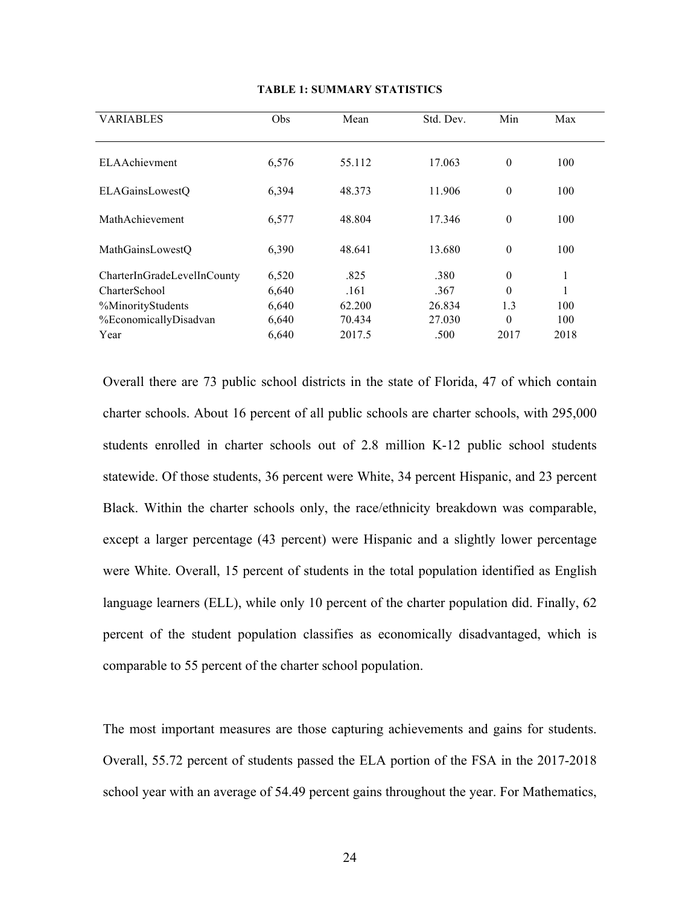| <b>VARIABLES</b>            | Obs   | Mean   | Std. Dev. | Min      | Max  |  |
|-----------------------------|-------|--------|-----------|----------|------|--|
| <b>ELAAchievment</b>        | 6,576 | 55.112 | 17.063    | $\theta$ | 100  |  |
| <b>ELAGainsLowestQ</b>      | 6,394 | 48.373 | 11.906    | $\theta$ | 100  |  |
| MathAchievement             | 6,577 | 48.804 | 17.346    | $\theta$ | 100  |  |
| MathGainsLowestO            | 6,390 | 48.641 | 13.680    | $\theta$ | 100  |  |
| CharterInGradeLevelInCounty | 6,520 | .825   | .380      | $\theta$ | 1    |  |
| CharterSchool               | 6,640 | .161   | .367      | $\Omega$ |      |  |
| %MinorityStudents           | 6,640 | 62.200 | 26.834    | 1.3      | 100  |  |
| %EconomicallyDisadvan       | 6,640 | 70.434 | 27.030    | $\theta$ | 100  |  |
| Year                        | 6,640 | 2017.5 | .500      | 2017     | 2018 |  |

#### **TABLE 1: SUMMARY STATISTICS**

Overall there are 73 public school districts in the state of Florida, 47 of which contain charter schools. About 16 percent of all public schools are charter schools, with 295,000 students enrolled in charter schools out of 2.8 million K-12 public school students statewide. Of those students, 36 percent were White, 34 percent Hispanic, and 23 percent Black. Within the charter schools only, the race/ethnicity breakdown was comparable, except a larger percentage (43 percent) were Hispanic and a slightly lower percentage were White. Overall, 15 percent of students in the total population identified as English language learners (ELL), while only 10 percent of the charter population did. Finally, 62 percent of the student population classifies as economically disadvantaged, which is comparable to 55 percent of the charter school population.

The most important measures are those capturing achievements and gains for students. Overall, 55.72 percent of students passed the ELA portion of the FSA in the 2017-2018 school year with an average of 54.49 percent gains throughout the year. For Mathematics,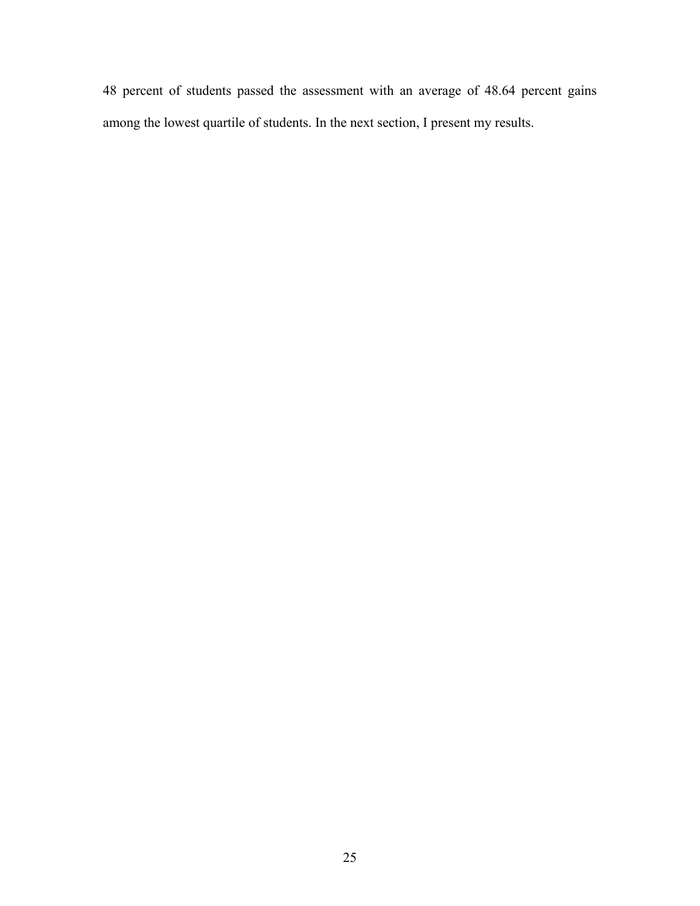percent of students passed the assessment with an average of 48.64 percent gains among the lowest quartile of students. In the next section, I present my results.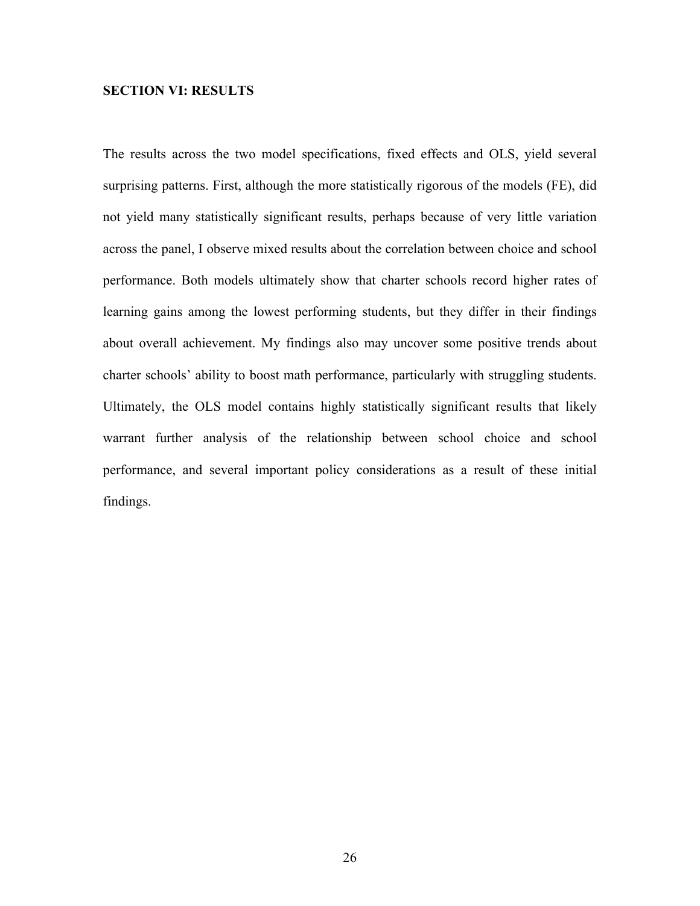## **SECTION VI: RESULTS**

The results across the two model specifications, fixed effects and OLS, yield several surprising patterns. First, although the more statistically rigorous of the models (FE), did not yield many statistically significant results, perhaps because of very little variation across the panel, I observe mixed results about the correlation between choice and school performance. Both models ultimately show that charter schools record higher rates of learning gains among the lowest performing students, but they differ in their findings about overall achievement. My findings also may uncover some positive trends about charter schools' ability to boost math performance, particularly with struggling students. Ultimately, the OLS model contains highly statistically significant results that likely warrant further analysis of the relationship between school choice and school performance, and several important policy considerations as a result of these initial findings.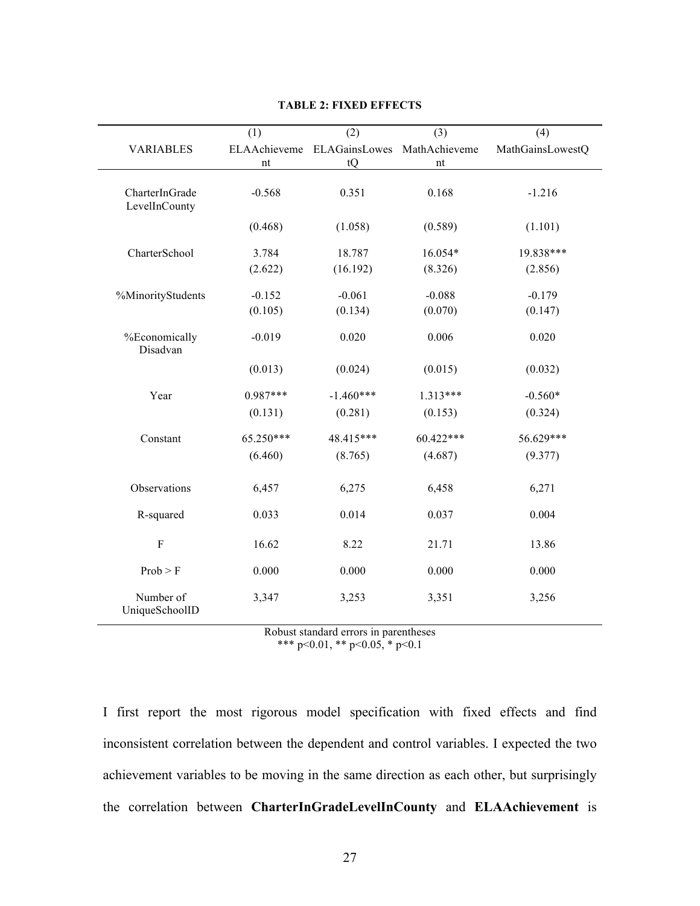|                                 | (1)                | (2)                 | (3)                 | (4)              |
|---------------------------------|--------------------|---------------------|---------------------|------------------|
| <b>VARIABLES</b>                | ELAAchieveme<br>nt | ELAGainsLowes<br>tQ | MathAchieveme<br>nt | MathGainsLowestQ |
|                                 |                    |                     |                     |                  |
| CharterInGrade<br>LevelInCounty | $-0.568$           | 0.351               | 0.168               | $-1.216$         |
|                                 | (0.468)            | (1.058)             | (0.589)             | (1.101)          |
| CharterSchool                   | 3.784              | 18.787              | 16.054*             | 19.838***        |
|                                 | (2.622)            | (16.192)            | (8.326)             | (2.856)          |
| %MinorityStudents               | $-0.152$           | $-0.061$            | $-0.088$            | $-0.179$         |
|                                 | (0.105)            | (0.134)             | (0.070)             | (0.147)          |
| %Economically<br>Disadvan       | $-0.019$           | 0.020               | 0.006               | 0.020            |
|                                 | (0.013)            | (0.024)             | (0.015)             | (0.032)          |
| Year                            | $0.987***$         | $-1.460***$         | $1.313***$          | $-0.560*$        |
|                                 | (0.131)            | (0.281)             | (0.153)             | (0.324)          |
| Constant                        | 65.250***          | 48.415***           | 60.422***           | 56.629***        |
|                                 | (6.460)            | (8.765)             | (4.687)             | (9.377)          |
| Observations                    | 6,457              | 6,275               | 6,458               | 6,271            |
| R-squared                       | 0.033              | 0.014               | 0.037               | 0.004            |
| $\rm F$                         | 16.62              | 8.22                | 21.71               | 13.86            |
| Prob > F                        | 0.000              | 0.000               | 0.000               | 0.000            |
| Number of<br>UniqueSchoolID     | 3,347              | 3,253               | 3,351               | 3,256            |

#### **TABLE 2: FIXED EFFECTS**

Robust standard errors in parentheses \*\*\* p<0.01, \*\* p<0.05, \* p<0.1

I first report the most rigorous model specification with fixed effects and find inconsistent correlation between the dependent and control variables. I expected the two achievement variables to be moving in the same direction as each other, but surprisingly the correlation between **CharterInGradeLevelInCounty** and **ELAAchievement** is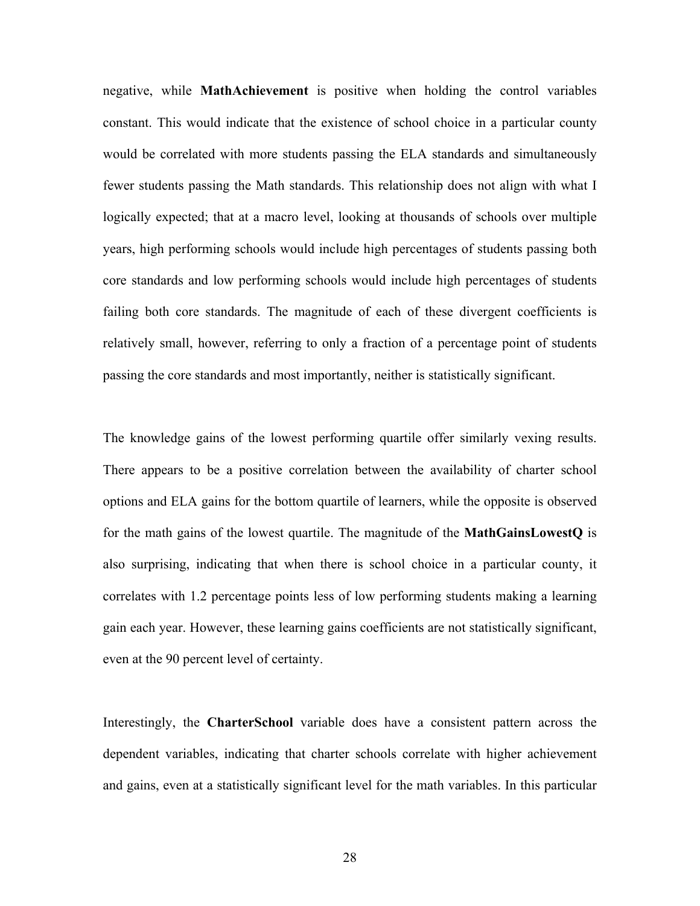negative, while **MathAchievement** is positive when holding the control variables constant. This would indicate that the existence of school choice in a particular county would be correlated with more students passing the ELA standards and simultaneously fewer students passing the Math standards. This relationship does not align with what I logically expected; that at a macro level, looking at thousands of schools over multiple years, high performing schools would include high percentages of students passing both core standards and low performing schools would include high percentages of students failing both core standards. The magnitude of each of these divergent coefficients is relatively small, however, referring to only a fraction of a percentage point of students passing the core standards and most importantly, neither is statistically significant.

The knowledge gains of the lowest performing quartile offer similarly vexing results. There appears to be a positive correlation between the availability of charter school options and ELA gains for the bottom quartile of learners, while the opposite is observed for the math gains of the lowest quartile. The magnitude of the **MathGainsLowestQ** is also surprising, indicating that when there is school choice in a particular county, it correlates with 1.2 percentage points less of low performing students making a learning gain each year. However, these learning gains coefficients are not statistically significant, even at the 90 percent level of certainty.

Interestingly, the **CharterSchool** variable does have a consistent pattern across the dependent variables, indicating that charter schools correlate with higher achievement and gains, even at a statistically significant level for the math variables. In this particular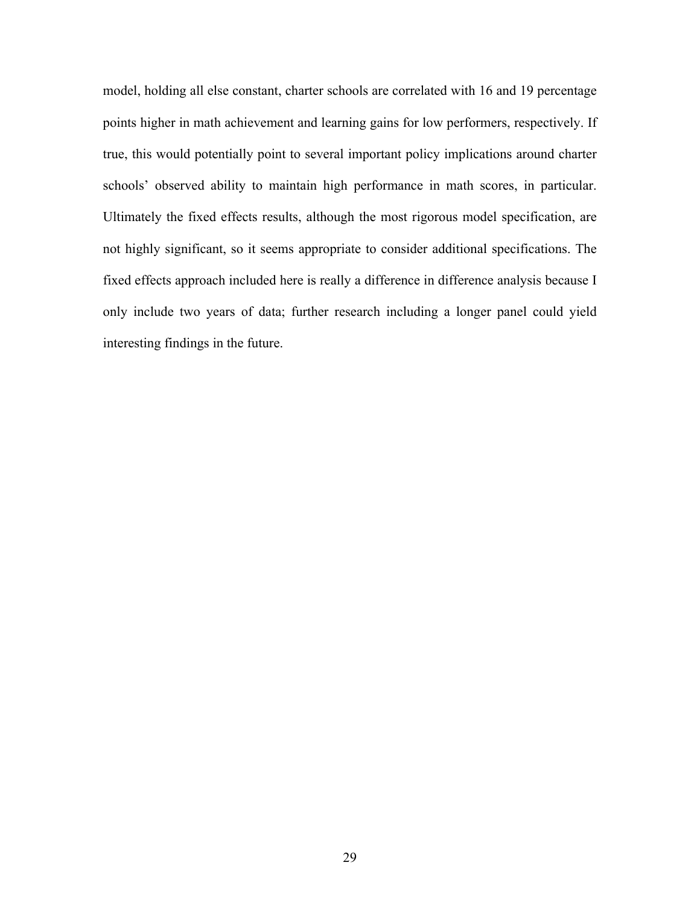model, holding all else constant, charter schools are correlated with 16 and 19 percentage points higher in math achievement and learning gains for low performers, respectively. If true, this would potentially point to several important policy implications around charter schools' observed ability to maintain high performance in math scores, in particular. Ultimately the fixed effects results, although the most rigorous model specification, are not highly significant, so it seems appropriate to consider additional specifications. The fixed effects approach included here is really a difference in difference analysis because I only include two years of data; further research including a longer panel could yield interesting findings in the future.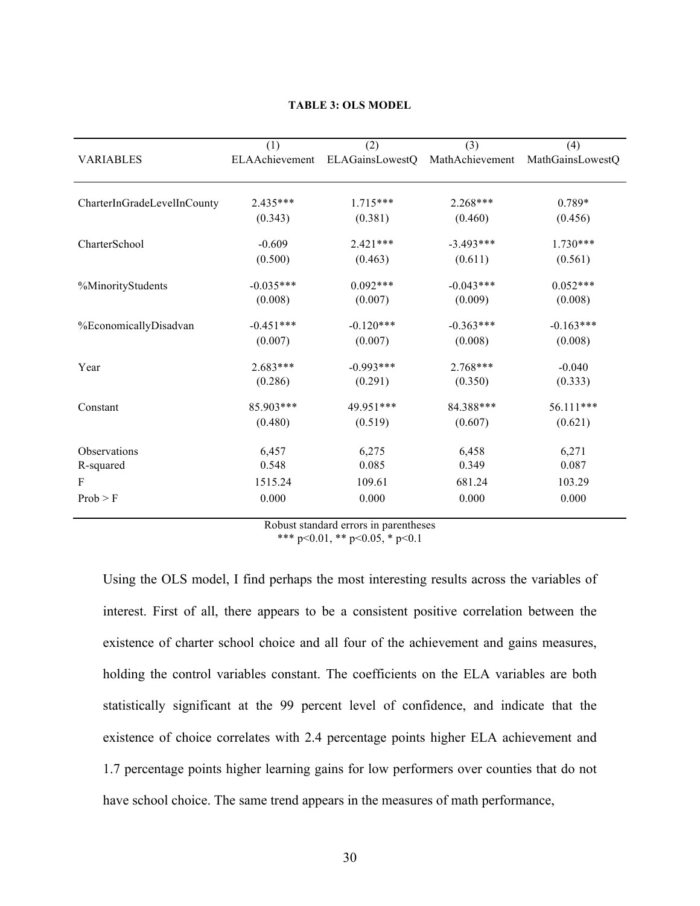| <b>VARIABLES</b>            | (1)<br>ELAAchievement | (2)<br>ELAGainsLowestQ | (3)<br>MathAchievement | (4)<br>MathGainsLowestQ |
|-----------------------------|-----------------------|------------------------|------------------------|-------------------------|
|                             |                       |                        |                        |                         |
| CharterInGradeLevelInCounty | $2.435***$            | $1.715***$             | $2.268***$             | $0.789*$                |
|                             | (0.343)               | (0.381)                | (0.460)                | (0.456)                 |
| CharterSchool               | $-0.609$              | $2.421***$             | $-3.493***$            | $1.730***$              |
|                             | (0.500)               | (0.463)                | (0.611)                | (0.561)                 |
| %MinorityStudents           | $-0.035***$           | $0.092***$             | $-0.043***$            | $0.052***$              |
|                             | (0.008)               | (0.007)                | (0.009)                | (0.008)                 |
| %EconomicallyDisadvan       | $-0.451***$           | $-0.120***$            | $-0.363***$            | $-0.163***$             |
|                             | (0.007)               | (0.007)                | (0.008)                | (0.008)                 |
| Year                        | $2.683***$            | $-0.993***$            | $2.768***$             | $-0.040$                |
|                             | (0.286)               | (0.291)                | (0.350)                | (0.333)                 |
| Constant                    | 85.903***             | 49.951***              | 84.388***              | 56.111***               |
|                             | (0.480)               | (0.519)                | (0.607)                | (0.621)                 |
| Observations                | 6,457                 | 6,275                  | 6,458                  | 6,271                   |
| R-squared                   | 0.548                 | 0.085                  | 0.349                  | 0.087                   |
| F                           | 1515.24               | 109.61                 | 681.24                 | 103.29                  |
| Prob > F                    | 0.000                 | 0.000                  | 0.000                  | 0.000                   |

#### **TABLE 3: OLS MODEL**

Robust standard errors in parentheses \*\*\* p<0.01, \*\* p<0.05, \* p<0.1

Using the OLS model, I find perhaps the most interesting results across the variables of interest. First of all, there appears to be a consistent positive correlation between the existence of charter school choice and all four of the achievement and gains measures, holding the control variables constant. The coefficients on the ELA variables are both statistically significant at the 99 percent level of confidence, and indicate that the existence of choice correlates with 2.4 percentage points higher ELA achievement and 1.7 percentage points higher learning gains for low performers over counties that do not have school choice. The same trend appears in the measures of math performance,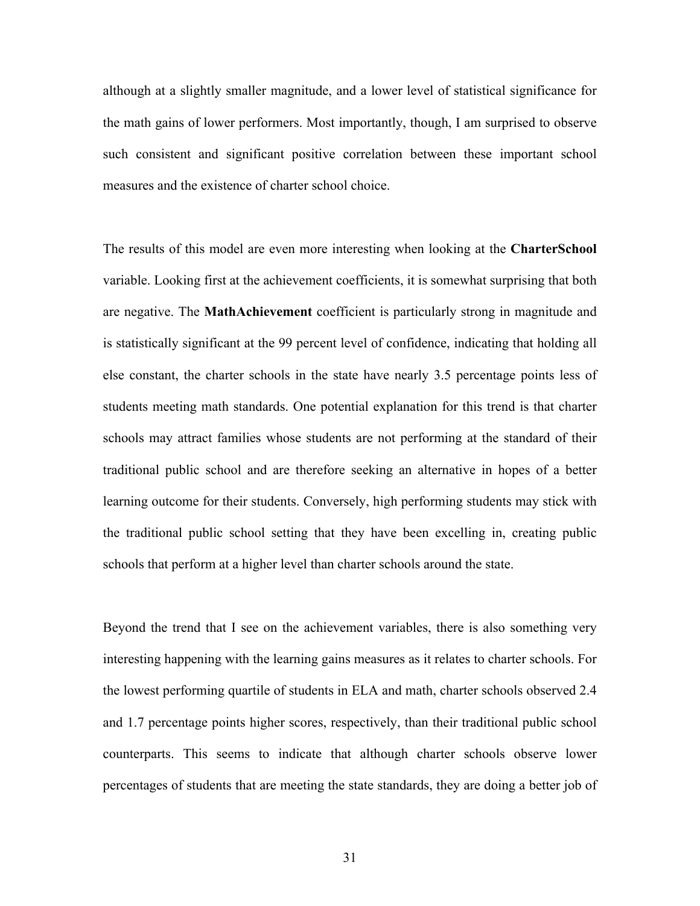although at a slightly smaller magnitude, and a lower level of statistical significance for the math gains of lower performers. Most importantly, though, I am surprised to observe such consistent and significant positive correlation between these important school measures and the existence of charter school choice.

The results of this model are even more interesting when looking at the **CharterSchool**  variable. Looking first at the achievement coefficients, it is somewhat surprising that both are negative. The **MathAchievement** coefficient is particularly strong in magnitude and is statistically significant at the 99 percent level of confidence, indicating that holding all else constant, the charter schools in the state have nearly 3.5 percentage points less of students meeting math standards. One potential explanation for this trend is that charter schools may attract families whose students are not performing at the standard of their traditional public school and are therefore seeking an alternative in hopes of a better learning outcome for their students. Conversely, high performing students may stick with the traditional public school setting that they have been excelling in, creating public schools that perform at a higher level than charter schools around the state.

Beyond the trend that I see on the achievement variables, there is also something very interesting happening with the learning gains measures as it relates to charter schools. For the lowest performing quartile of students in ELA and math, charter schools observed 2.4 and 1.7 percentage points higher scores, respectively, than their traditional public school counterparts. This seems to indicate that although charter schools observe lower percentages of students that are meeting the state standards, they are doing a better job of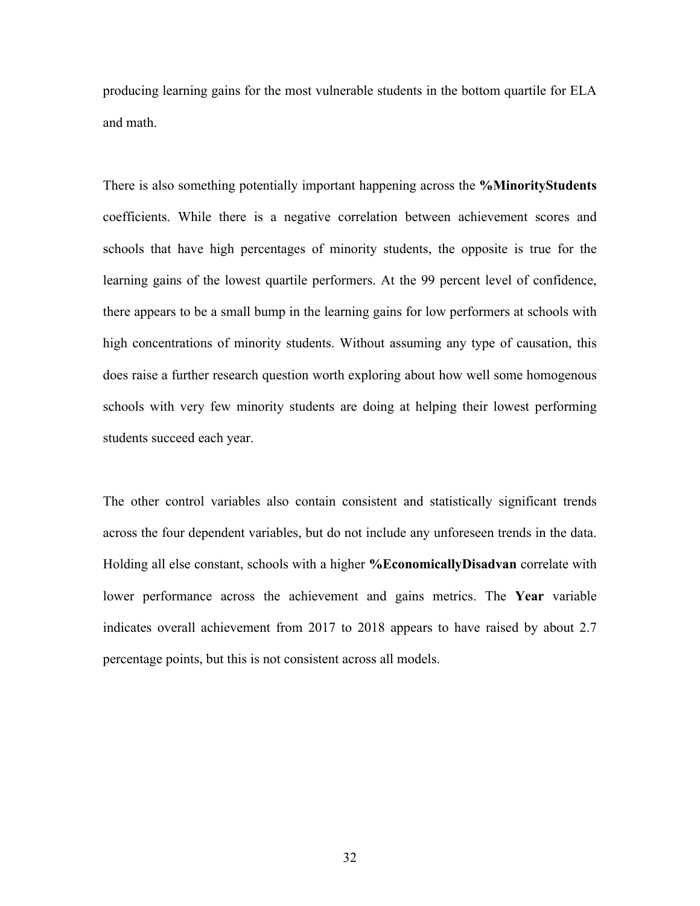producing learning gains for the most vulnerable students in the bottom quartile for ELA and math.

There is also something potentially important happening across the **%MinorityStudents** coefficients. While there is a negative correlation between achievement scores and schools that have high percentages of minority students, the opposite is true for the learning gains of the lowest quartile performers. At the 99 percent level of confidence, there appears to be a small bump in the learning gains for low performers at schools with high concentrations of minority students. Without assuming any type of causation, this does raise a further research question worth exploring about how well some homogenous schools with very few minority students are doing at helping their lowest performing students succeed each year.

The other control variables also contain consistent and statistically significant trends across the four dependent variables, but do not include any unforeseen trends in the data. Holding all else constant, schools with a higher **%EconomicallyDisadvan** correlate with lower performance across the achievement and gains metrics. The **Year** variable indicates overall achievement from 2017 to 2018 appears to have raised by about 2.7 percentage points, but this is not consistent across all models.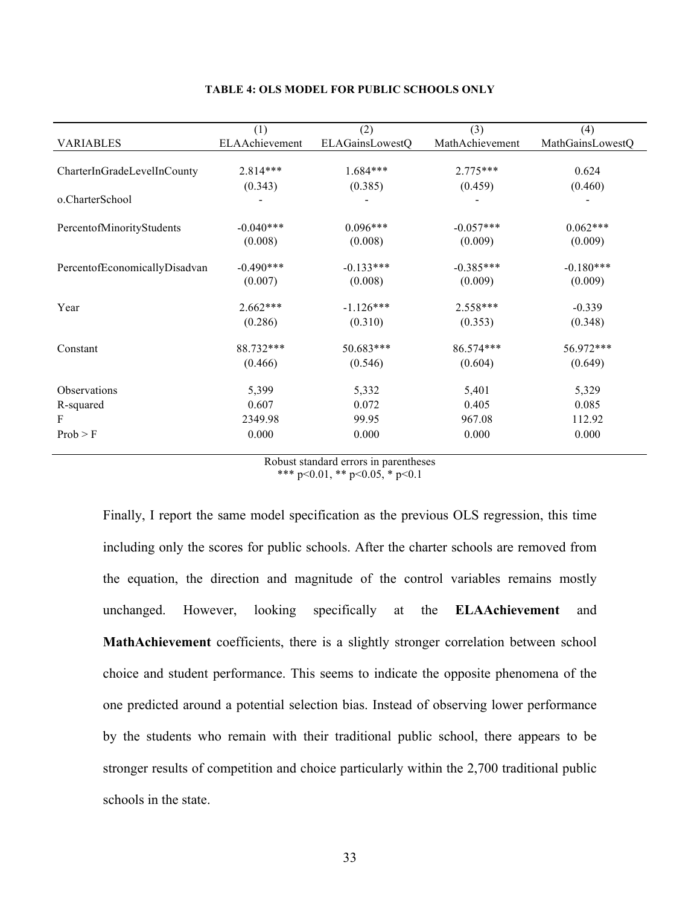|                               | (1)            | (2)             | (3)             | (4)              |
|-------------------------------|----------------|-----------------|-----------------|------------------|
| <b>VARIABLES</b>              | ELAAchievement | ELAGainsLowestQ | MathAchievement | MathGainsLowestQ |
|                               |                |                 |                 |                  |
| CharterInGradeLevelInCounty   | $2.814***$     | $1.684***$      | $2.775***$      | 0.624            |
|                               | (0.343)        | (0.385)         | (0.459)         | (0.460)          |
| o.CharterSchool               |                |                 |                 |                  |
|                               |                |                 |                 |                  |
| PercentofMinorityStudents     | $-0.040***$    | $0.096***$      | $-0.057***$     | $0.062***$       |
|                               | (0.008)        | (0.008)         | (0.009)         | (0.009)          |
| PercentofEconomicallyDisadvan | $-0.490***$    | $-0.133***$     | $-0.385***$     | $-0.180***$      |
|                               | (0.007)        | (0.008)         | (0.009)         | (0.009)          |
| Year                          | $2.662***$     | $-1.126***$     | $2.558***$      | $-0.339$         |
|                               | (0.286)        | (0.310)         | (0.353)         | (0.348)          |
| Constant                      | 88.732***      | 50.683***       | 86.574***       | 56.972***        |
|                               | (0.466)        | (0.546)         | (0.604)         | (0.649)          |
| Observations                  | 5,399          | 5,332           | 5,401           | 5,329            |
| R-squared                     | 0.607          | 0.072           | 0.405           | 0.085            |
| $\mathbf{F}$                  | 2349.98        | 99.95           | 967.08          | 112.92           |
| Prob > F                      | 0.000          | 0.000           | 0.000           | 0.000            |

## **TABLE 4: OLS MODEL FOR PUBLIC SCHOOLS ONLY**

Robust standard errors in parentheses \*\*\* p<0.01, \*\* p<0.05, \* p<0.1

Finally, I report the same model specification as the previous OLS regression, this time including only the scores for public schools. After the charter schools are removed from the equation, the direction and magnitude of the control variables remains mostly unchanged. However, looking specifically at the **ELAAchievement** and **MathAchievement** coefficients, there is a slightly stronger correlation between school choice and student performance. This seems to indicate the opposite phenomena of the one predicted around a potential selection bias. Instead of observing lower performance by the students who remain with their traditional public school, there appears to be stronger results of competition and choice particularly within the 2,700 traditional public schools in the state.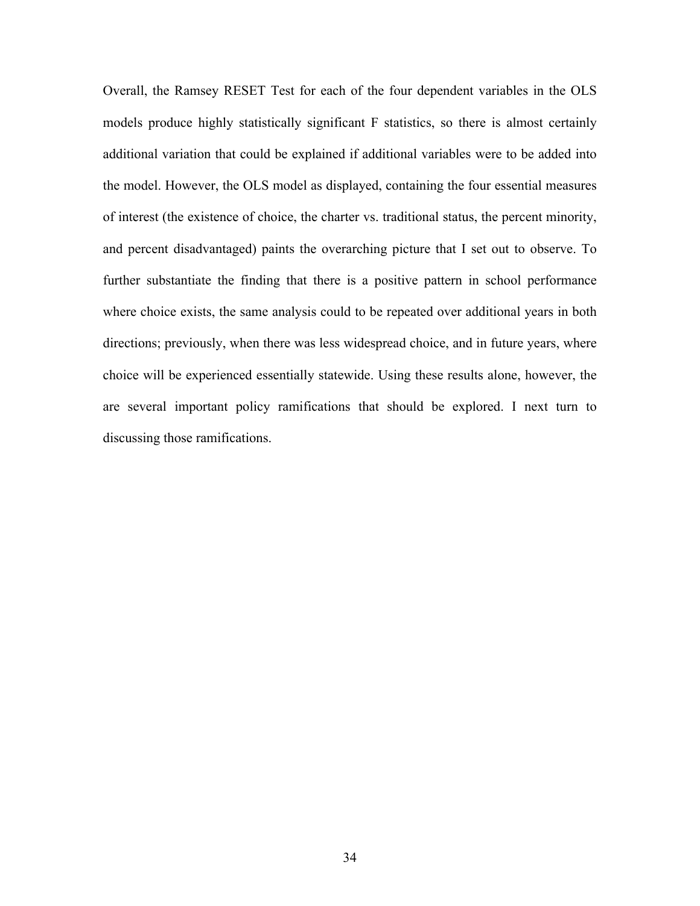Overall, the Ramsey RESET Test for each of the four dependent variables in the OLS models produce highly statistically significant F statistics, so there is almost certainly additional variation that could be explained if additional variables were to be added into the model. However, the OLS model as displayed, containing the four essential measures of interest (the existence of choice, the charter vs. traditional status, the percent minority, and percent disadvantaged) paints the overarching picture that I set out to observe. To further substantiate the finding that there is a positive pattern in school performance where choice exists, the same analysis could to be repeated over additional years in both directions; previously, when there was less widespread choice, and in future years, where choice will be experienced essentially statewide. Using these results alone, however, the are several important policy ramifications that should be explored. I next turn to discussing those ramifications.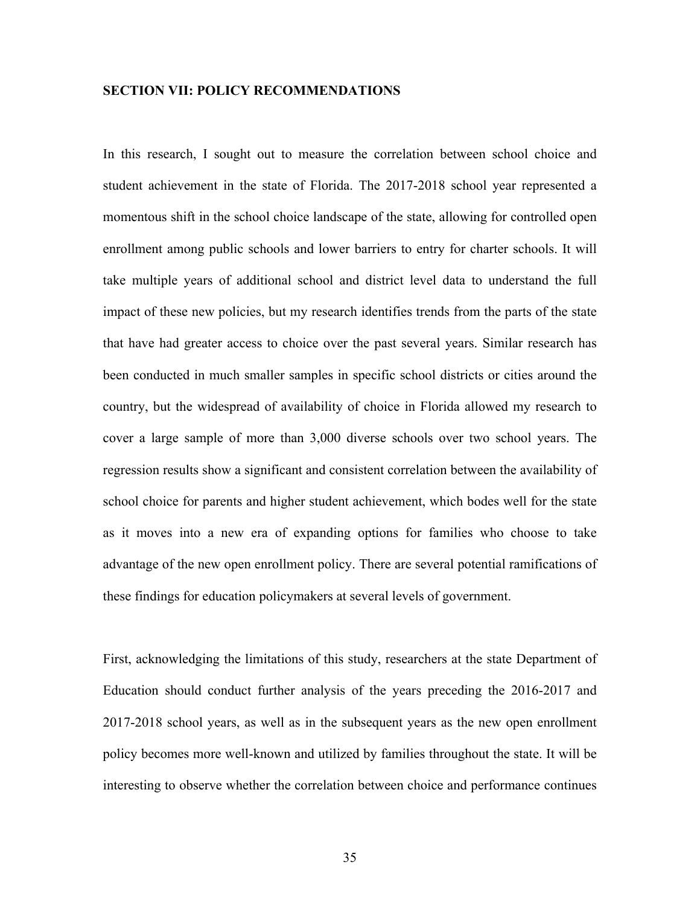## **SECTION VII: POLICY RECOMMENDATIONS**

In this research, I sought out to measure the correlation between school choice and student achievement in the state of Florida. The 2017-2018 school year represented a momentous shift in the school choice landscape of the state, allowing for controlled open enrollment among public schools and lower barriers to entry for charter schools. It will take multiple years of additional school and district level data to understand the full impact of these new policies, but my research identifies trends from the parts of the state that have had greater access to choice over the past several years. Similar research has been conducted in much smaller samples in specific school districts or cities around the country, but the widespread of availability of choice in Florida allowed my research to cover a large sample of more than 3,000 diverse schools over two school years. The regression results show a significant and consistent correlation between the availability of school choice for parents and higher student achievement, which bodes well for the state as it moves into a new era of expanding options for families who choose to take advantage of the new open enrollment policy. There are several potential ramifications of these findings for education policymakers at several levels of government.

First, acknowledging the limitations of this study, researchers at the state Department of Education should conduct further analysis of the years preceding the 2016-2017 and 2017-2018 school years, as well as in the subsequent years as the new open enrollment policy becomes more well-known and utilized by families throughout the state. It will be interesting to observe whether the correlation between choice and performance continues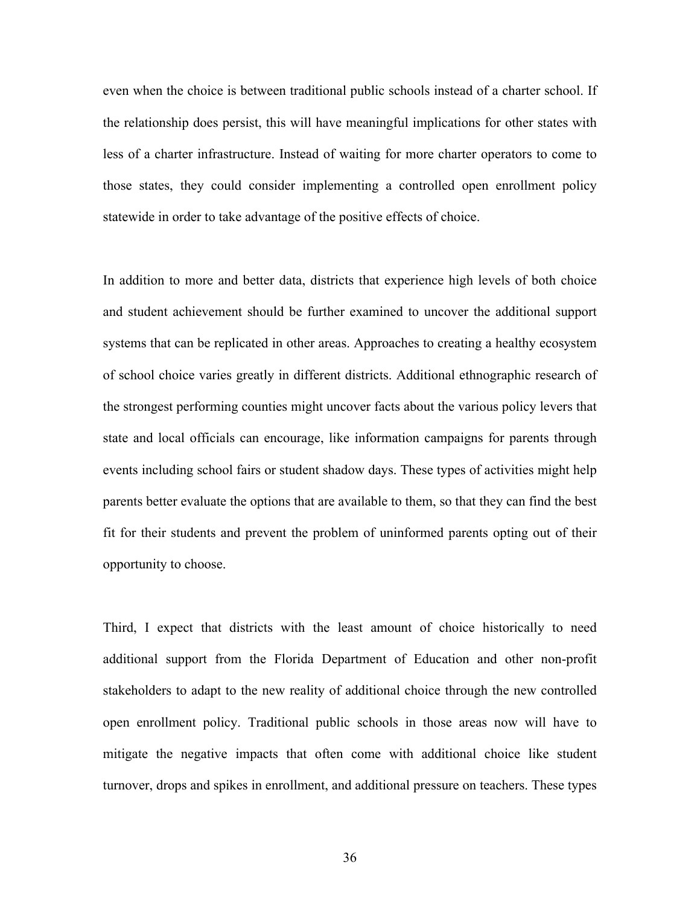even when the choice is between traditional public schools instead of a charter school. If the relationship does persist, this will have meaningful implications for other states with less of a charter infrastructure. Instead of waiting for more charter operators to come to those states, they could consider implementing a controlled open enrollment policy statewide in order to take advantage of the positive effects of choice.

In addition to more and better data, districts that experience high levels of both choice and student achievement should be further examined to uncover the additional support systems that can be replicated in other areas. Approaches to creating a healthy ecosystem of school choice varies greatly in different districts. Additional ethnographic research of the strongest performing counties might uncover facts about the various policy levers that state and local officials can encourage, like information campaigns for parents through events including school fairs or student shadow days. These types of activities might help parents better evaluate the options that are available to them, so that they can find the best fit for their students and prevent the problem of uninformed parents opting out of their opportunity to choose.

Third, I expect that districts with the least amount of choice historically to need additional support from the Florida Department of Education and other non-profit stakeholders to adapt to the new reality of additional choice through the new controlled open enrollment policy. Traditional public schools in those areas now will have to mitigate the negative impacts that often come with additional choice like student turnover, drops and spikes in enrollment, and additional pressure on teachers. These types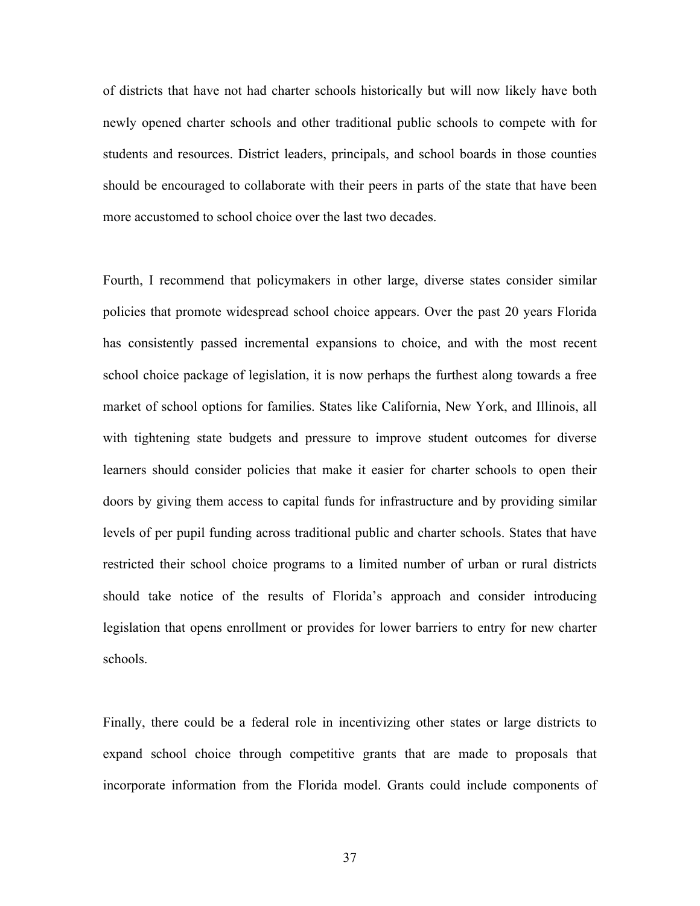of districts that have not had charter schools historically but will now likely have both newly opened charter schools and other traditional public schools to compete with for students and resources. District leaders, principals, and school boards in those counties should be encouraged to collaborate with their peers in parts of the state that have been more accustomed to school choice over the last two decades.

Fourth, I recommend that policymakers in other large, diverse states consider similar policies that promote widespread school choice appears. Over the past 20 years Florida has consistently passed incremental expansions to choice, and with the most recent school choice package of legislation, it is now perhaps the furthest along towards a free market of school options for families. States like California, New York, and Illinois, all with tightening state budgets and pressure to improve student outcomes for diverse learners should consider policies that make it easier for charter schools to open their doors by giving them access to capital funds for infrastructure and by providing similar levels of per pupil funding across traditional public and charter schools. States that have restricted their school choice programs to a limited number of urban or rural districts should take notice of the results of Florida's approach and consider introducing legislation that opens enrollment or provides for lower barriers to entry for new charter schools.

Finally, there could be a federal role in incentivizing other states or large districts to expand school choice through competitive grants that are made to proposals that incorporate information from the Florida model. Grants could include components of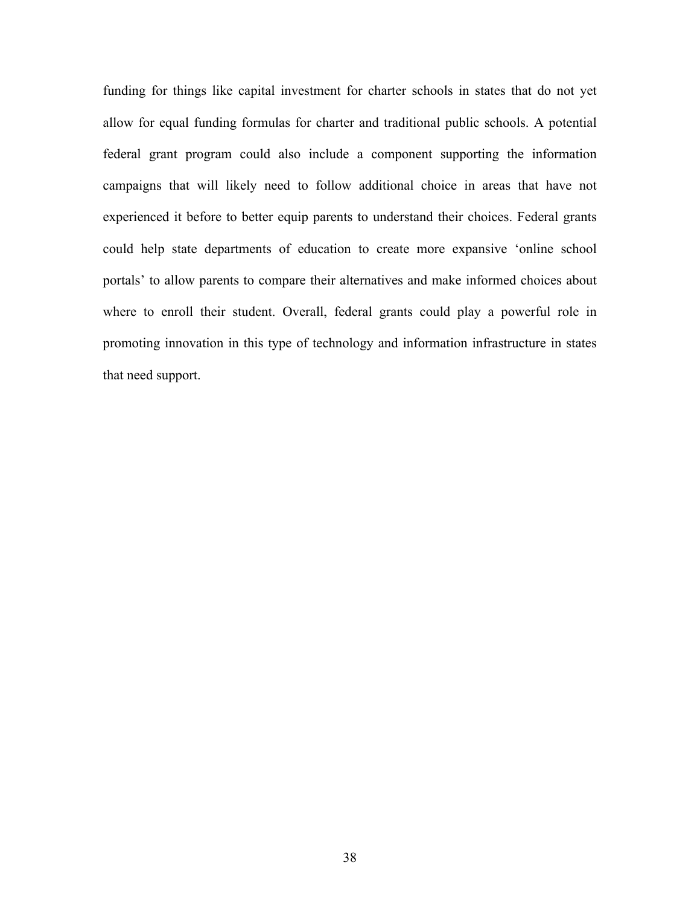funding for things like capital investment for charter schools in states that do not yet allow for equal funding formulas for charter and traditional public schools. A potential federal grant program could also include a component supporting the information campaigns that will likely need to follow additional choice in areas that have not experienced it before to better equip parents to understand their choices. Federal grants could help state departments of education to create more expansive 'online school portals' to allow parents to compare their alternatives and make informed choices about where to enroll their student. Overall, federal grants could play a powerful role in promoting innovation in this type of technology and information infrastructure in states that need support.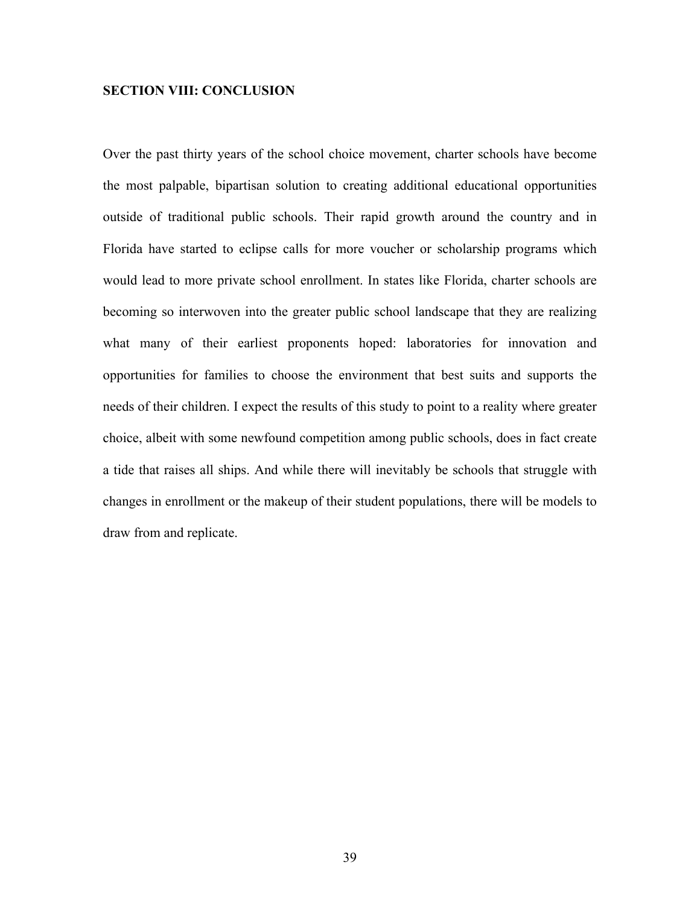## **SECTION VIII: CONCLUSION**

Over the past thirty years of the school choice movement, charter schools have become the most palpable, bipartisan solution to creating additional educational opportunities outside of traditional public schools. Their rapid growth around the country and in Florida have started to eclipse calls for more voucher or scholarship programs which would lead to more private school enrollment. In states like Florida, charter schools are becoming so interwoven into the greater public school landscape that they are realizing what many of their earliest proponents hoped: laboratories for innovation and opportunities for families to choose the environment that best suits and supports the needs of their children. I expect the results of this study to point to a reality where greater choice, albeit with some newfound competition among public schools, does in fact create a tide that raises all ships. And while there will inevitably be schools that struggle with changes in enrollment or the makeup of their student populations, there will be models to draw from and replicate.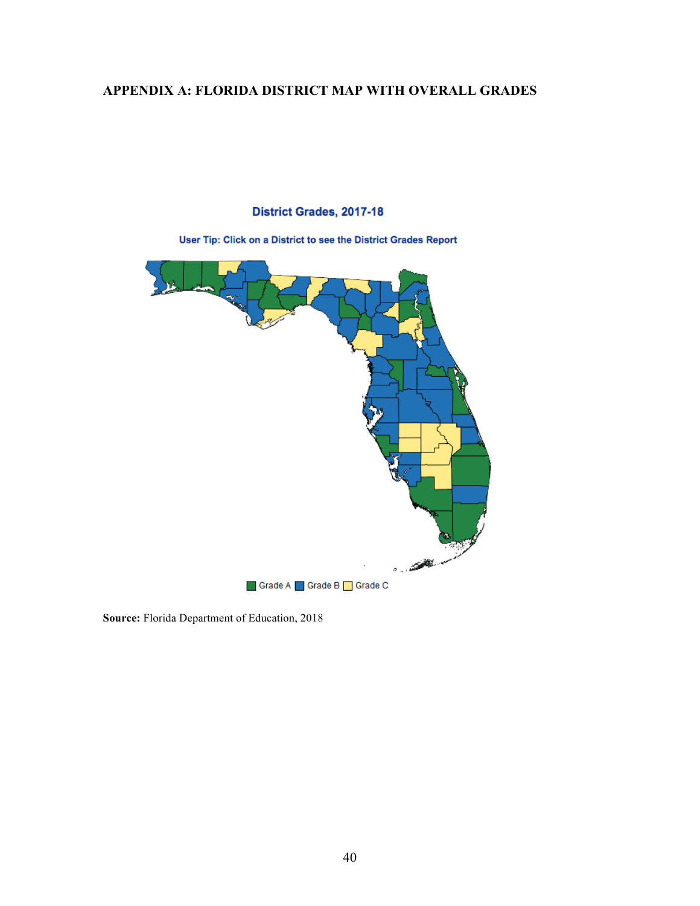# **APPENDIX A: FLORIDA DISTRICT MAP WITH OVERALL GRADES**

## District Grades, 2017-18

User Tip: Click on a District to see the District Grades Report



**Source:** Florida Department of Education, 2018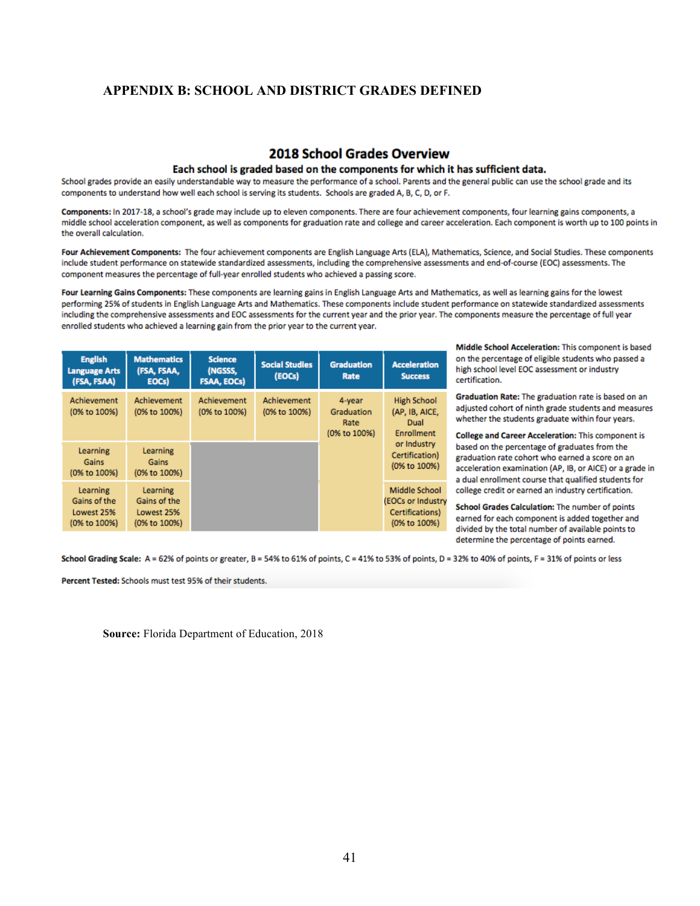## **APPENDIX B: SCHOOL AND DISTRICT GRADES DEFINED**

## **2018 School Grades Overview**

#### Each school is graded based on the components for which it has sufficient data.

School grades provide an easily understandable way to measure the performance of a school. Parents and the general public can use the school grade and its components to understand how well each school is serving its students. Schools are graded A, B, C, D, or F.

Components: In 2017-18, a school's grade may include up to eleven components. There are four achievement components, four learning gains components, a middle school acceleration component, as well as components for graduation rate and college and career acceleration. Each component is worth up to 100 points in the overall calculation.

Four Achievement Components: The four achievement components are English Language Arts (ELA), Mathematics, Science, and Social Studies. These components include student performance on statewide standardized assessments, including the comprehensive assessments and end-of-course (EOC) assessments. The component measures the percentage of full-year enrolled students who achieved a passing score.

Four Learning Gains Components: These components are learning gains in English Language Arts and Mathematics, as well as learning gains for the lowest performing 25% of students in English Language Arts and Mathematics. These components include student performance on statewide standardized assessments including the comprehensive assessments and EOC assessments for the current year and the prior year. The components measure the percentage of full year enrolled students who achieved a learning gain from the prior year to the current year.

| <b>English</b><br><b>Language Arts</b><br>(FSA, FSAA)  | <b>Mathematics</b><br>(FSA, FSAA,<br>EOCs)             | <b>Science</b><br>(NGSSS,<br><b>FSAA, EOCs)</b> | <b>Social Studies</b><br>(EOCs) | <b>Graduation</b><br>Rate                    | <b>Acceleration</b><br><b>Success</b>                                 |
|--------------------------------------------------------|--------------------------------------------------------|-------------------------------------------------|---------------------------------|----------------------------------------------|-----------------------------------------------------------------------|
| Achievement<br>(0% to 100%)                            | <b>Achievement</b><br>(0% to 100%)                     | Achievement<br>(0% to 100%)                     | Achievement<br>(0% to 100%)     | 4-year<br>Graduation<br>Rate<br>(0% to 100%) | <b>High School</b><br>(AP, IB, AICE,<br>Dual<br>Enrollment            |
| Learning<br>Gains<br>(0% to 100%)                      | Learning<br>Gains<br>(0% to 100%)                      |                                                 |                                 |                                              | or Industry<br>Certification)<br>(0% to 100%)                         |
| Learning<br>Gains of the<br>Lowest 25%<br>(0% to 100%) | Learning<br>Gains of the<br>Lowest 25%<br>(0% to 100%) |                                                 |                                 |                                              | Middle School<br>(EOCs or Industry<br>Certifications)<br>(0% to 100%) |

Middle School Acceleration: This component is based on the percentage of eligible students who passed a high school level EOC assessment or industry certification.

Graduation Rate: The graduation rate is based on an adjusted cohort of ninth grade students and measures whether the students graduate within four years.

College and Career Acceleration: This component is based on the percentage of graduates from the graduation rate cohort who earned a score on an acceleration examination (AP, IB, or AICE) or a grade in a dual enrollment course that qualified students for college credit or earned an industry certification.

School Grades Calculation: The number of points earned for each component is added together and divided by the total number of available points to determine the percentage of points earned.

School Grading Scale: A = 62% of points or greater, B = 54% to 61% of points, C = 41% to 53% of points, D = 32% to 40% of points, F = 31% of points or less

Percent Tested: Schools must test 95% of their students.

**Source:** Florida Department of Education, 2018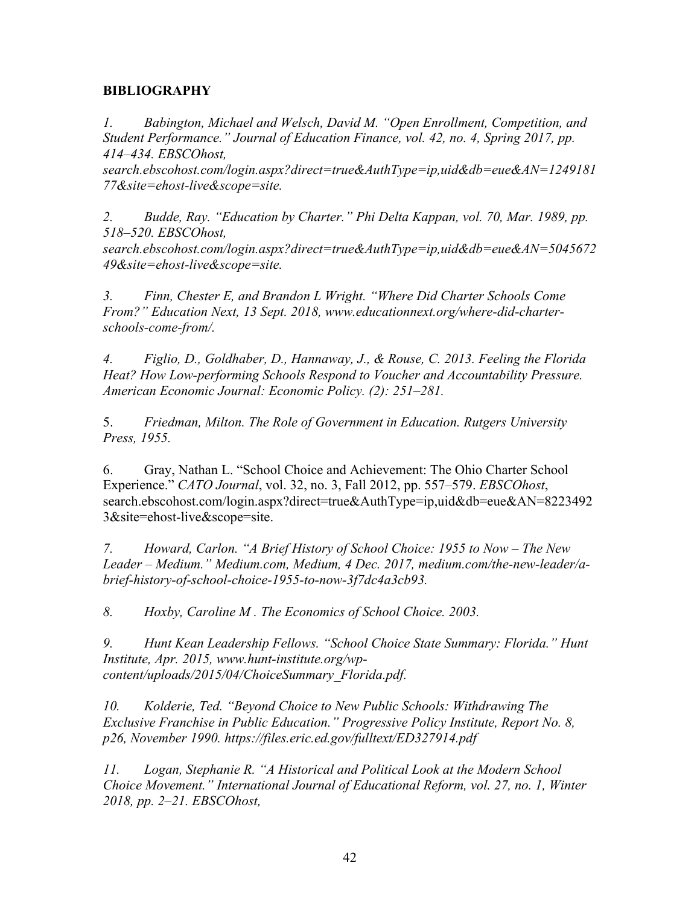## **BIBLIOGRAPHY**

*1. Babington, Michael and Welsch, David M. "Open Enrollment, Competition, and Student Performance." Journal of Education Finance, vol. 42, no. 4, Spring 2017, pp. 414–434. EBSCOhost,* 

*search.ebscohost.com/login.aspx?direct=true&AuthType=ip,uid&db=eue&AN=1249181 77&site=ehost-live&scope=site.*

*2. Budde, Ray. "Education by Charter." Phi Delta Kappan, vol. 70, Mar. 1989, pp. 518–520. EBSCOhost,* 

*search.ebscohost.com/login.aspx?direct=true&AuthType=ip,uid&db=eue&AN=5045672 49&site=ehost-live&scope=site.*

*3. Finn, Chester E, and Brandon L Wright. "Where Did Charter Schools Come From?" Education Next, 13 Sept. 2018, www.educationnext.org/where-did-charterschools-come-from/.*

*4. Figlio, D., Goldhaber, D., Hannaway, J., & Rouse, C. 2013. Feeling the Florida Heat? How Low-performing Schools Respond to Voucher and Accountability Pressure. American Economic Journal: Economic Policy. (2): 251–281.*

5. *Friedman, Milton. The Role of Government in Education. Rutgers University Press, 1955.*

6. Gray, Nathan L. "School Choice and Achievement: The Ohio Charter School Experience." *CATO Journal*, vol. 32, no. 3, Fall 2012, pp. 557–579. *EBSCOhost*, search.ebscohost.com/login.aspx?direct=true&AuthType=ip,uid&db=eue&AN=8223492 3&site=ehost-live&scope=site.

*7. Howard, Carlon. "A Brief History of School Choice: 1955 to Now – The New Leader – Medium." Medium.com, Medium, 4 Dec. 2017, medium.com/the-new-leader/abrief-history-of-school-choice-1955-to-now-3f7dc4a3cb93.*

*8. Hoxby, Caroline M . The Economics of School Choice. 2003.*

*9. Hunt Kean Leadership Fellows. "School Choice State Summary: Florida." Hunt Institute, Apr. 2015, www.hunt-institute.org/wpcontent/uploads/2015/04/ChoiceSummary\_Florida.pdf.*

*10. Kolderie, Ted. "Beyond Choice to New Public Schools: Withdrawing The Exclusive Franchise in Public Education." Progressive Policy Institute, Report No. 8, p26, November 1990. https://files.eric.ed.gov/fulltext/ED327914.pdf*

*11. Logan, Stephanie R. "A Historical and Political Look at the Modern School Choice Movement." International Journal of Educational Reform, vol. 27, no. 1, Winter 2018, pp. 2–21. EBSCOhost,*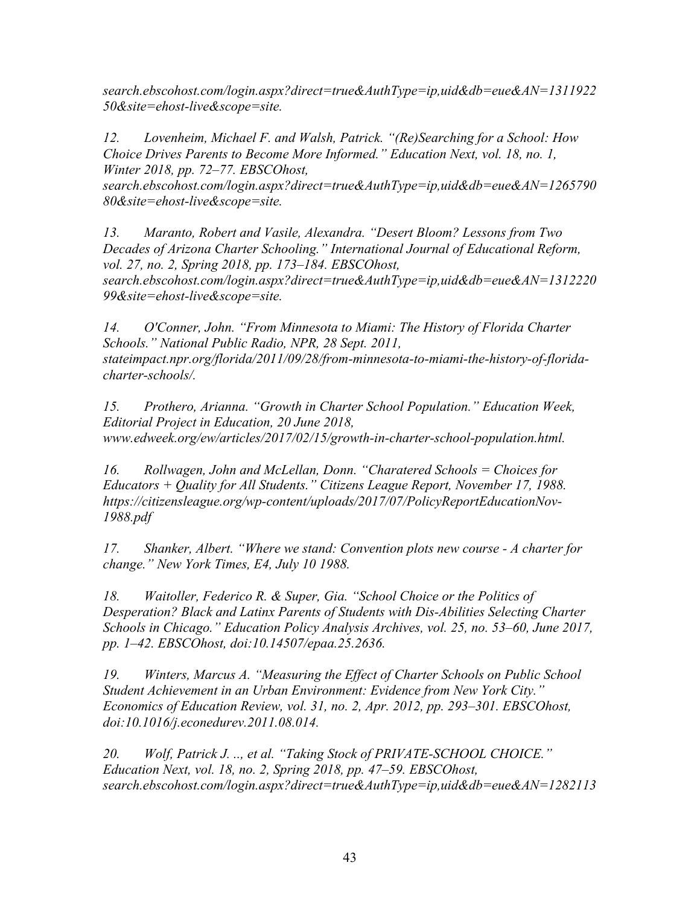*search.ebscohost.com/login.aspx?direct=true&AuthType=ip,uid&db=eue&AN=1311922 50&site=ehost-live&scope=site.*

*12. Lovenheim, Michael F. and Walsh, Patrick. "(Re)Searching for a School: How Choice Drives Parents to Become More Informed." Education Next, vol. 18, no. 1, Winter 2018, pp. 72–77. EBSCOhost,* 

*search.ebscohost.com/login.aspx?direct=true&AuthType=ip,uid&db=eue&AN=1265790 80&site=ehost-live&scope=site.*

*13. Maranto, Robert and Vasile, Alexandra. "Desert Bloom? Lessons from Two Decades of Arizona Charter Schooling." International Journal of Educational Reform, vol. 27, no. 2, Spring 2018, pp. 173–184. EBSCOhost,* 

*search.ebscohost.com/login.aspx?direct=true&AuthType=ip,uid&db=eue&AN=1312220 99&site=ehost-live&scope=site.*

*14. O'Conner, John. "From Minnesota to Miami: The History of Florida Charter Schools." National Public Radio, NPR, 28 Sept. 2011, stateimpact.npr.org/florida/2011/09/28/from-minnesota-to-miami-the-history-of-floridacharter-schools/.*

*15. Prothero, Arianna. "Growth in Charter School Population." Education Week, Editorial Project in Education, 20 June 2018, www.edweek.org/ew/articles/2017/02/15/growth-in-charter-school-population.html.*

*16. Rollwagen, John and McLellan, Donn. "Charatered Schools = Choices for Educators + Quality for All Students." Citizens League Report, November 17, 1988. https://citizensleague.org/wp-content/uploads/2017/07/PolicyReportEducationNov-1988.pdf*

*17. Shanker, Albert. "Where we stand: Convention plots new course - A charter for change." New York Times, E4, July 10 1988.* 

*18. Waitoller, Federico R. & Super, Gia. "School Choice or the Politics of Desperation? Black and Latinx Parents of Students with Dis-Abilities Selecting Charter Schools in Chicago." Education Policy Analysis Archives, vol. 25, no. 53–60, June 2017, pp. 1–42. EBSCOhost, doi:10.14507/epaa.25.2636.*

*19. Winters, Marcus A. "Measuring the Effect of Charter Schools on Public School Student Achievement in an Urban Environment: Evidence from New York City." Economics of Education Review, vol. 31, no. 2, Apr. 2012, pp. 293–301. EBSCOhost, doi:10.1016/j.econedurev.2011.08.014.*

*20. Wolf, Patrick J. .., et al. "Taking Stock of PRIVATE-SCHOOL CHOICE." Education Next, vol. 18, no. 2, Spring 2018, pp. 47–59. EBSCOhost, search.ebscohost.com/login.aspx?direct=true&AuthType=ip,uid&db=eue&AN=1282113*